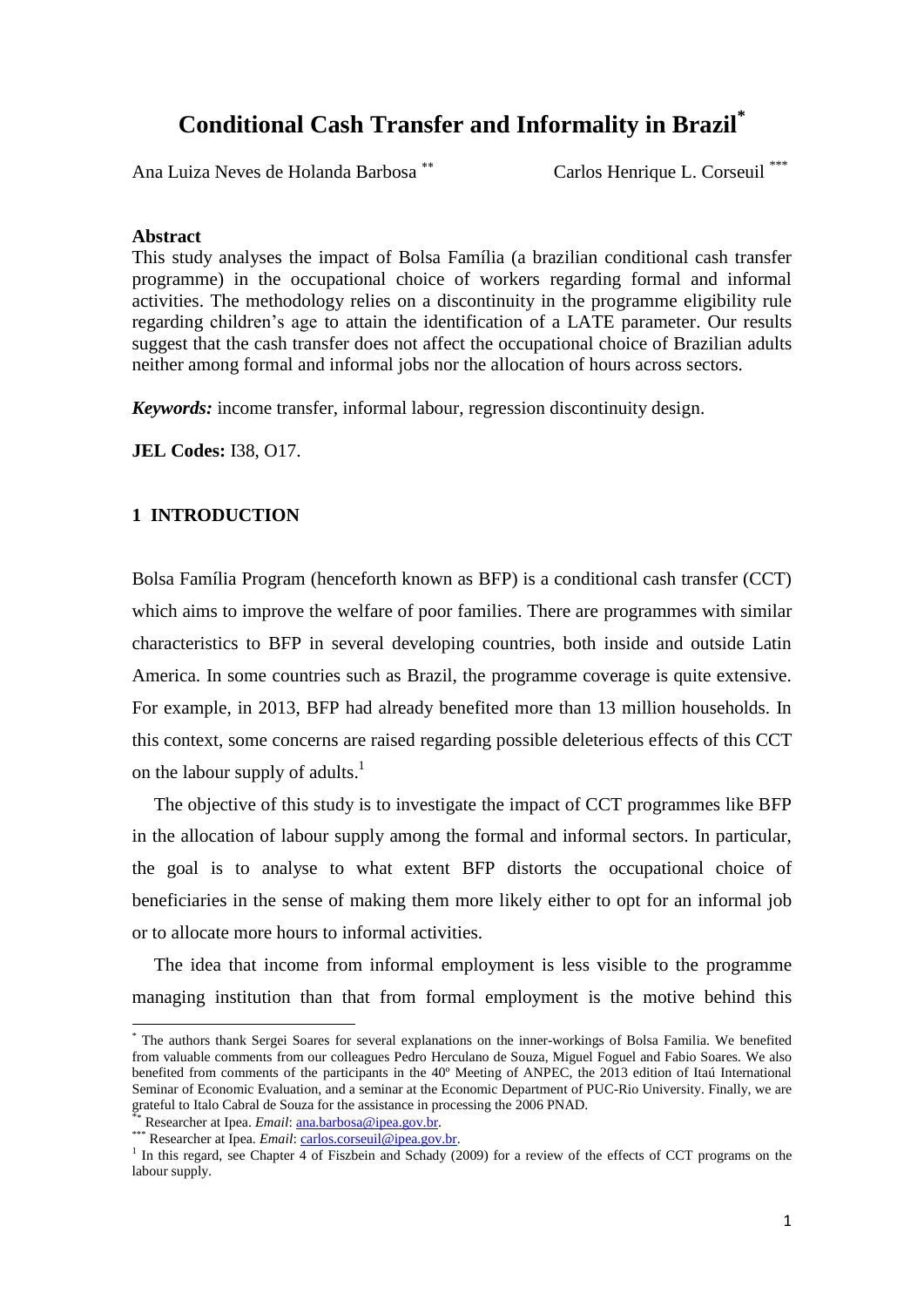# **Conditional Cash Transfer and Informality in Brazil\***

Ana Luiza Neves de Holanda Barbosa

Carlos Henrique L. Corseuil \*\*\*

## **Abstract**

This study analyses the impact of Bolsa Família (a brazilian conditional cash transfer programme) in the occupational choice of workers regarding formal and informal activities. The methodology relies on a discontinuity in the programme eligibility rule regarding children's age to attain the identification of a LATE parameter. Our results suggest that the cash transfer does not affect the occupational choice of Brazilian adults neither among formal and informal jobs nor the allocation of hours across sectors.

*Keywords:* income transfer, informal labour, regression discontinuity design.

**JEL Codes:** I38, O17.

## **1 INTRODUCTION**

Bolsa Família Program (henceforth known as BFP) is a conditional cash transfer (CCT) which aims to improve the welfare of poor families. There are programmes with similar characteristics to BFP in several developing countries, both inside and outside Latin America. In some countries such as Brazil, the programme coverage is quite extensive. For example, in 2013, BFP had already benefited more than 13 million households. In this context, some concerns are raised regarding possible deleterious effects of this CCT on the labour supply of adults.<sup>1</sup>

The objective of this study is to investigate the impact of CCT programmes like BFP in the allocation of labour supply among the formal and informal sectors. In particular, the goal is to analyse to what extent BFP distorts the occupational choice of beneficiaries in the sense of making them more likely either to opt for an informal job or to allocate more hours to informal activities.

The idea that income from informal employment is less visible to the programme managing institution than that from formal employment is the motive behind this

1

<sup>\*</sup> The authors thank Sergei Soares for several explanations on the inner-workings of Bolsa Familia. We benefited from valuable comments from our colleagues Pedro Herculano de Souza, Miguel Foguel and Fabio Soares. We also benefited from comments of the participants in the 40º Meeting of ANPEC, the 2013 edition of Itaú International Seminar of Economic Evaluation, and a seminar at the Economic Department of PUC-Rio University. Finally, we are grateful to Italo Cabral de Souza for the assistance in processing the 2006 PNAD.

Researcher at Ipea. *Email*[: ana.barbosa@ipea.gov.br.](mailto:ana.barbosa@ipea.gov.br)

**Example 22 Researcher at Ipea.** *Email:* carlos.corseuil@ipea.gov.br.

<sup>&</sup>lt;sup>1</sup> In this regard, see Chapter 4 of Fiszbein and Schady (2009) for a review of the effects of CCT programs on the labour supply.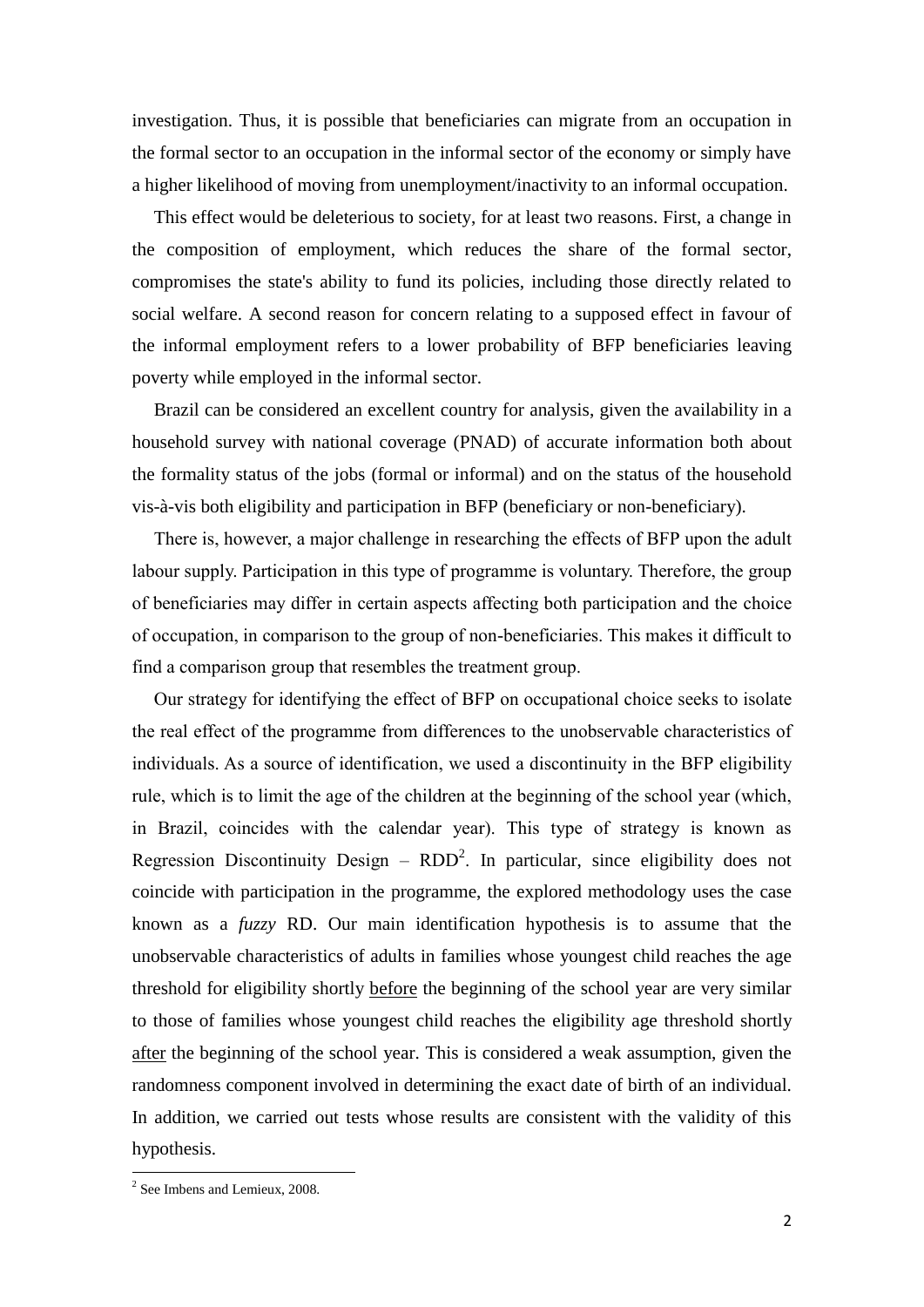investigation. Thus, it is possible that beneficiaries can migrate from an occupation in the formal sector to an occupation in the informal sector of the economy or simply have a higher likelihood of moving from unemployment/inactivity to an informal occupation.

This effect would be deleterious to society, for at least two reasons. First, a change in the composition of employment, which reduces the share of the formal sector, compromises the state's ability to fund its policies, including those directly related to social welfare. A second reason for concern relating to a supposed effect in favour of the informal employment refers to a lower probability of BFP beneficiaries leaving poverty while employed in the informal sector.

Brazil can be considered an excellent country for analysis, given the availability in a household survey with national coverage (PNAD) of accurate information both about the formality status of the jobs (formal or informal) and on the status of the household vis-à-vis both eligibility and participation in BFP (beneficiary or non-beneficiary).

There is, however, a major challenge in researching the effects of BFP upon the adult labour supply. Participation in this type of programme is voluntary. Therefore, the group of beneficiaries may differ in certain aspects affecting both participation and the choice of occupation, in comparison to the group of non-beneficiaries. This makes it difficult to find a comparison group that resembles the treatment group.

Our strategy for identifying the effect of BFP on occupational choice seeks to isolate the real effect of the programme from differences to the unobservable characteristics of individuals. As a source of identification, we used a discontinuity in the BFP eligibility rule, which is to limit the age of the children at the beginning of the school year (which, in Brazil, coincides with the calendar year). This type of strategy is known as Regression Discontinuity Design –  $RDD<sup>2</sup>$ . In particular, since eligibility does not coincide with participation in the programme, the explored methodology uses the case known as a *fuzzy* RD. Our main identification hypothesis is to assume that the unobservable characteristics of adults in families whose youngest child reaches the age threshold for eligibility shortly before the beginning of the school year are very similar to those of families whose youngest child reaches the eligibility age threshold shortly after the beginning of the school year. This is considered a weak assumption, given the randomness component involved in determining the exact date of birth of an individual. In addition, we carried out tests whose results are consistent with the validity of this hypothesis.

 2 See Imbens and Lemieux, 2008.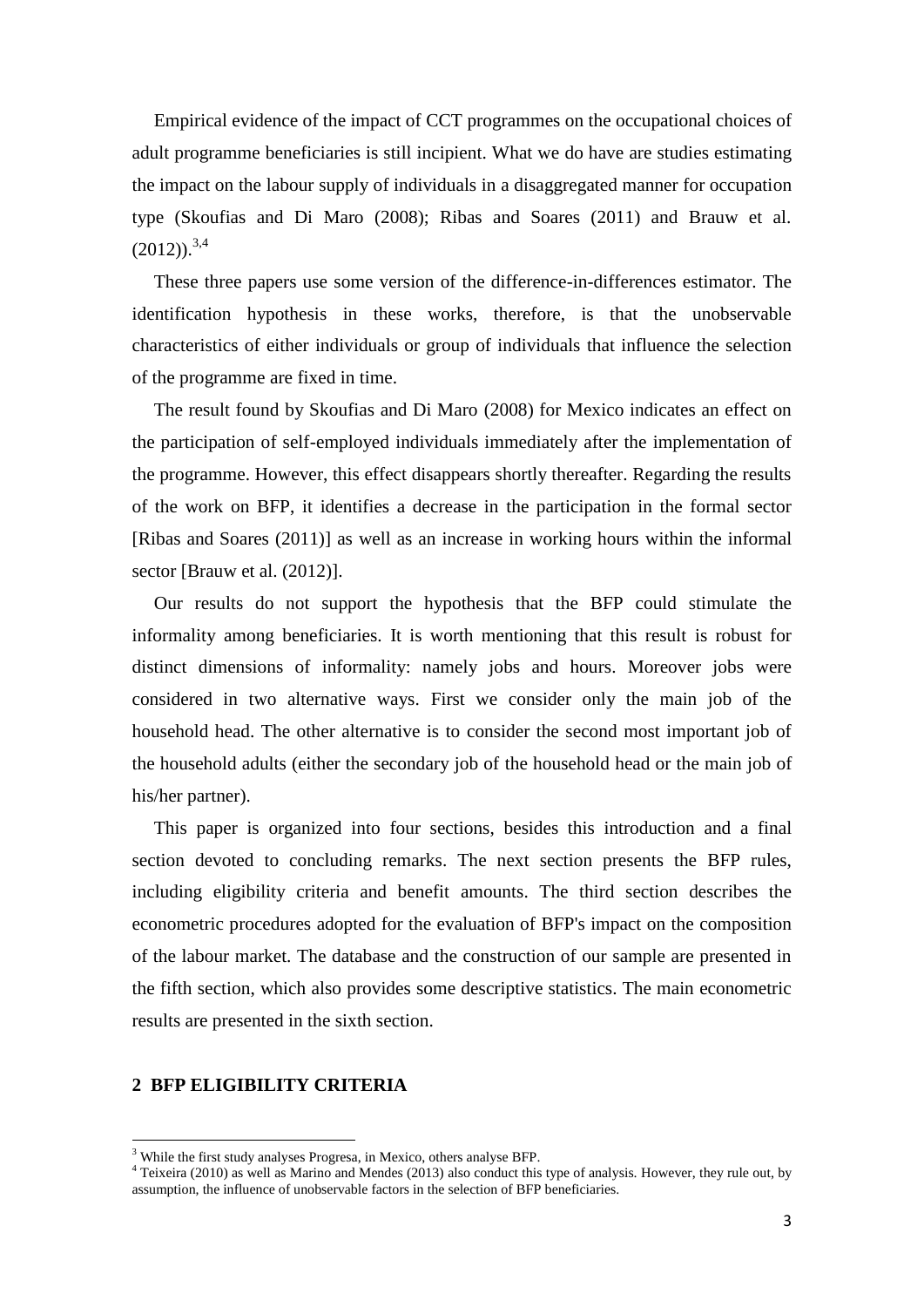Empirical evidence of the impact of CCT programmes on the occupational choices of adult programme beneficiaries is still incipient. What we do have are studies estimating the impact on the labour supply of individuals in a disaggregated manner for occupation type (Skoufias and Di Maro (2008); Ribas and Soares (2011) and Brauw et al.  $(2012)$ <sup>3,4</sup>

These three papers use some version of the difference-in-differences estimator. The identification hypothesis in these works, therefore, is that the unobservable characteristics of either individuals or group of individuals that influence the selection of the programme are fixed in time.

The result found by Skoufias and Di Maro (2008) for Mexico indicates an effect on the participation of self-employed individuals immediately after the implementation of the programme. However, this effect disappears shortly thereafter. Regarding the results of the work on BFP, it identifies a decrease in the participation in the formal sector [Ribas and Soares (2011)] as well as an increase in working hours within the informal sector [Brauw et al. (2012)].

Our results do not support the hypothesis that the BFP could stimulate the informality among beneficiaries. It is worth mentioning that this result is robust for distinct dimensions of informality: namely jobs and hours. Moreover jobs were considered in two alternative ways. First we consider only the main job of the household head. The other alternative is to consider the second most important job of the household adults (either the secondary job of the household head or the main job of his/her partner).

This paper is organized into four sections, besides this introduction and a final section devoted to concluding remarks. The next section presents the BFP rules, including eligibility criteria and benefit amounts. The third section describes the econometric procedures adopted for the evaluation of BFP's impact on the composition of the labour market. The database and the construction of our sample are presented in the fifth section, which also provides some descriptive statistics. The main econometric results are presented in the sixth section.

## **2 BFP ELIGIBILITY CRITERIA**

1

<sup>&</sup>lt;sup>3</sup> While the first study analyses Progresa, in Mexico, others analyse BFP.

<sup>&</sup>lt;sup>4</sup> Teixeira (2010) as well as Marino and Mendes (2013) also conduct this type of analysis. However, they rule out, by assumption, the influence of unobservable factors in the selection of BFP beneficiaries.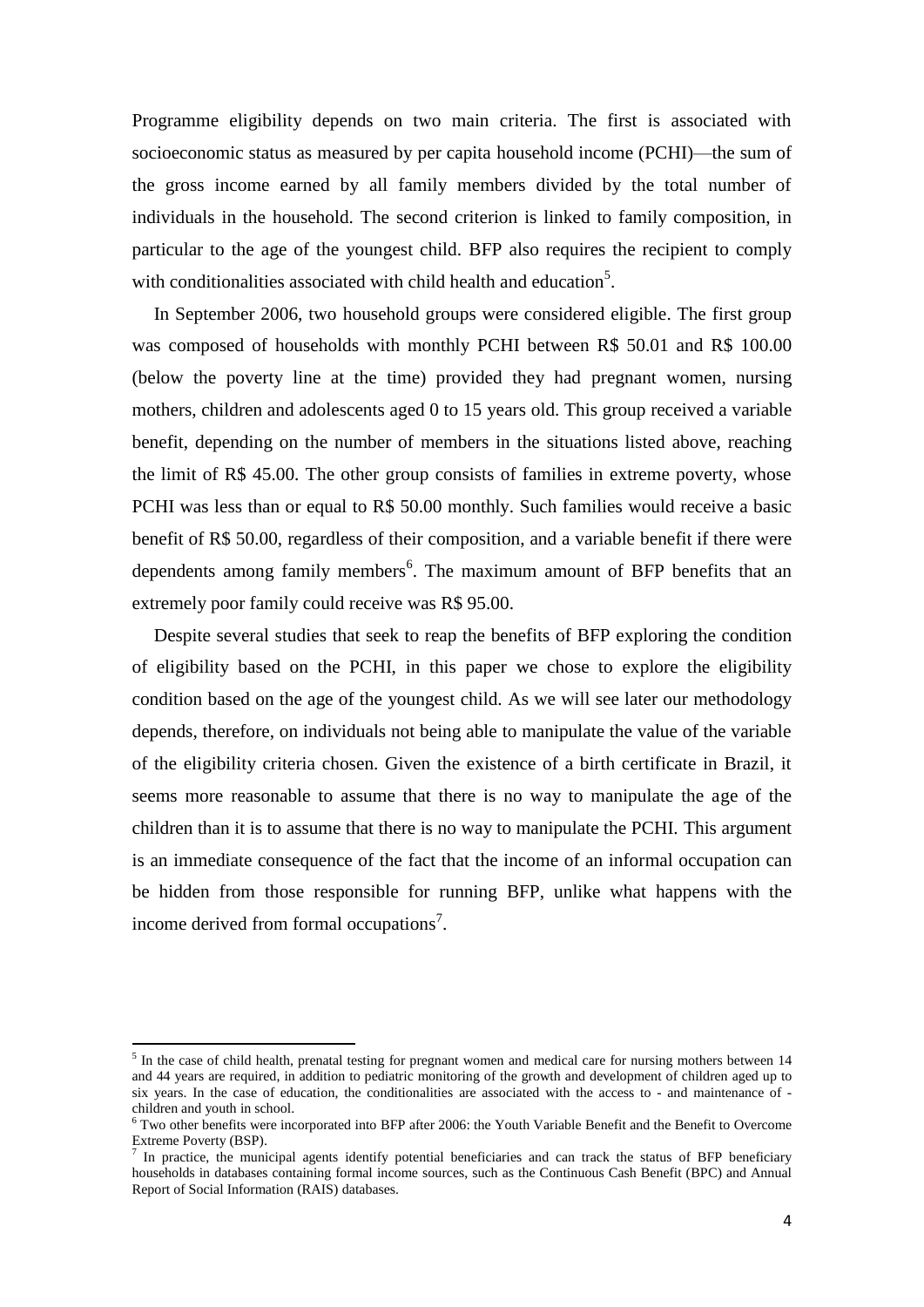Programme eligibility depends on two main criteria. The first is associated with socioeconomic status as measured by per capita household income (PCHI)—the sum of the gross income earned by all family members divided by the total number of individuals in the household. The second criterion is linked to family composition, in particular to the age of the youngest child. BFP also requires the recipient to comply with conditionalities associated with child health and education<sup>5</sup>.

In September 2006, two household groups were considered eligible. The first group was composed of households with monthly PCHI between R\$ 50.01 and R\$ 100.00 (below the poverty line at the time) provided they had pregnant women, nursing mothers, children and adolescents aged 0 to 15 years old. This group received a variable benefit, depending on the number of members in the situations listed above, reaching the limit of R\$ 45.00. The other group consists of families in extreme poverty, whose PCHI was less than or equal to R\$ 50.00 monthly. Such families would receive a basic benefit of R\$ 50.00, regardless of their composition, and a variable benefit if there were dependents among family members<sup>6</sup>. The maximum amount of BFP benefits that an extremely poor family could receive was R\$ 95.00.

Despite several studies that seek to reap the benefits of BFP exploring the condition of eligibility based on the PCHI, in this paper we chose to explore the eligibility condition based on the age of the youngest child. As we will see later our methodology depends, therefore, on individuals not being able to manipulate the value of the variable of the eligibility criteria chosen. Given the existence of a birth certificate in Brazil, it seems more reasonable to assume that there is no way to manipulate the age of the children than it is to assume that there is no way to manipulate the PCHI. This argument is an immediate consequence of the fact that the income of an informal occupation can be hidden from those responsible for running BFP, unlike what happens with the income derived from formal occupations<sup>7</sup>.

**.** 

 $<sup>5</sup>$  In the case of child health, prenatal testing for pregnant women and medical care for nursing mothers between 14</sup> and 44 years are required, in addition to pediatric monitoring of the growth and development of children aged up to six years. In the case of education, the conditionalities are associated with the access to - and maintenance of children and youth in school.

 $6$  Two other benefits were incorporated into BFP after 2006: the Youth Variable Benefit and the Benefit to Overcome Extreme Poverty (BSP).

In practice, the municipal agents identify potential beneficiaries and can track the status of BFP beneficiary households in databases containing formal income sources, such as the Continuous Cash Benefit (BPC) and Annual Report of Social Information (RAIS) databases.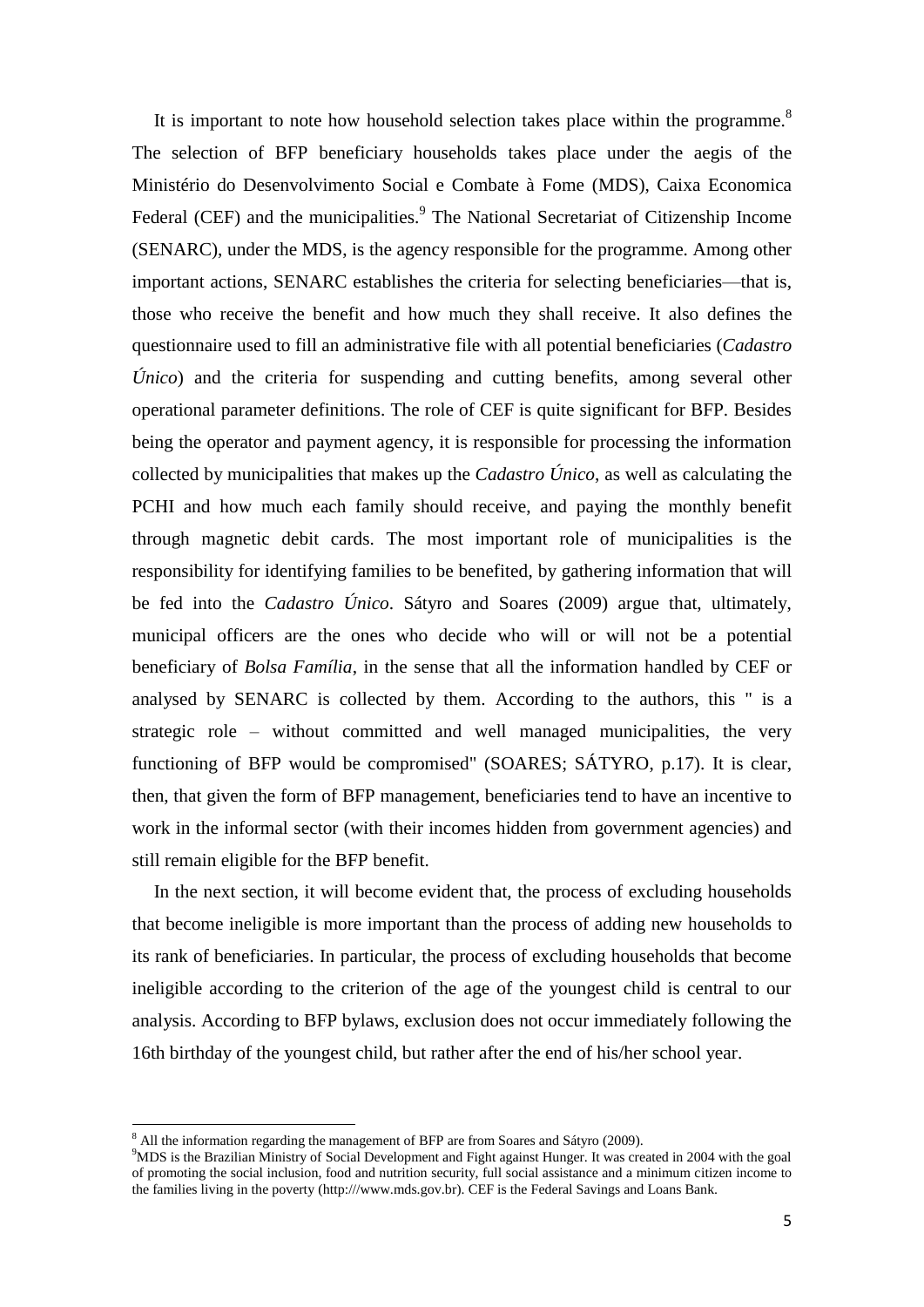It is important to note how household selection takes place within the programme.<sup>8</sup> The selection of BFP beneficiary households takes place under the aegis of the Ministério do Desenvolvimento Social e Combate à Fome (MDS), Caixa Economica Federal (CEF) and the municipalities.<sup>9</sup> The National Secretariat of Citizenship Income (SENARC), under the MDS, is the agency responsible for the programme. Among other important actions, SENARC establishes the criteria for selecting beneficiaries—that is, those who receive the benefit and how much they shall receive. It also defines the questionnaire used to fill an administrative file with all potential beneficiaries (*Cadastro Único*) and the criteria for suspending and cutting benefits, among several other operational parameter definitions. The role of CEF is quite significant for BFP. Besides being the operator and payment agency, it is responsible for processing the information collected by municipalities that makes up the *Cadastro Único*, as well as calculating the PCHI and how much each family should receive, and paying the monthly benefit through magnetic debit cards. The most important role of municipalities is the responsibility for identifying families to be benefited, by gathering information that will be fed into the *Cadastro Único*. Sátyro and Soares (2009) argue that, ultimately, municipal officers are the ones who decide who will or will not be a potential beneficiary of *Bolsa Família*, in the sense that all the information handled by CEF or analysed by SENARC is collected by them. According to the authors, this " is a strategic role – without committed and well managed municipalities, the very functioning of BFP would be compromised" (SOARES; SÁTYRO, p.17). It is clear, then, that given the form of BFP management, beneficiaries tend to have an incentive to work in the informal sector (with their incomes hidden from government agencies) and still remain eligible for the BFP benefit.

In the next section, it will become evident that, the process of excluding households that become ineligible is more important than the process of adding new households to its rank of beneficiaries. In particular, the process of excluding households that become ineligible according to the criterion of the age of the youngest child is central to our analysis. According to BFP bylaws, exclusion does not occur immediately following the 16th birthday of the youngest child, but rather after the end of his/her school year.

**.** 

<sup>&</sup>lt;sup>8</sup> All the information regarding the management of BFP are from Soares and Sátyro (2009).

<sup>9</sup>MDS is the Brazilian Ministry of Social Development and Fight against Hunger. It was created in 2004 with the goal of promoting the social inclusion, food and nutrition security, full social assistance and a minimum citizen income to the families living in the poverty (http:///www.mds.gov.br). CEF is the Federal Savings and Loans Bank.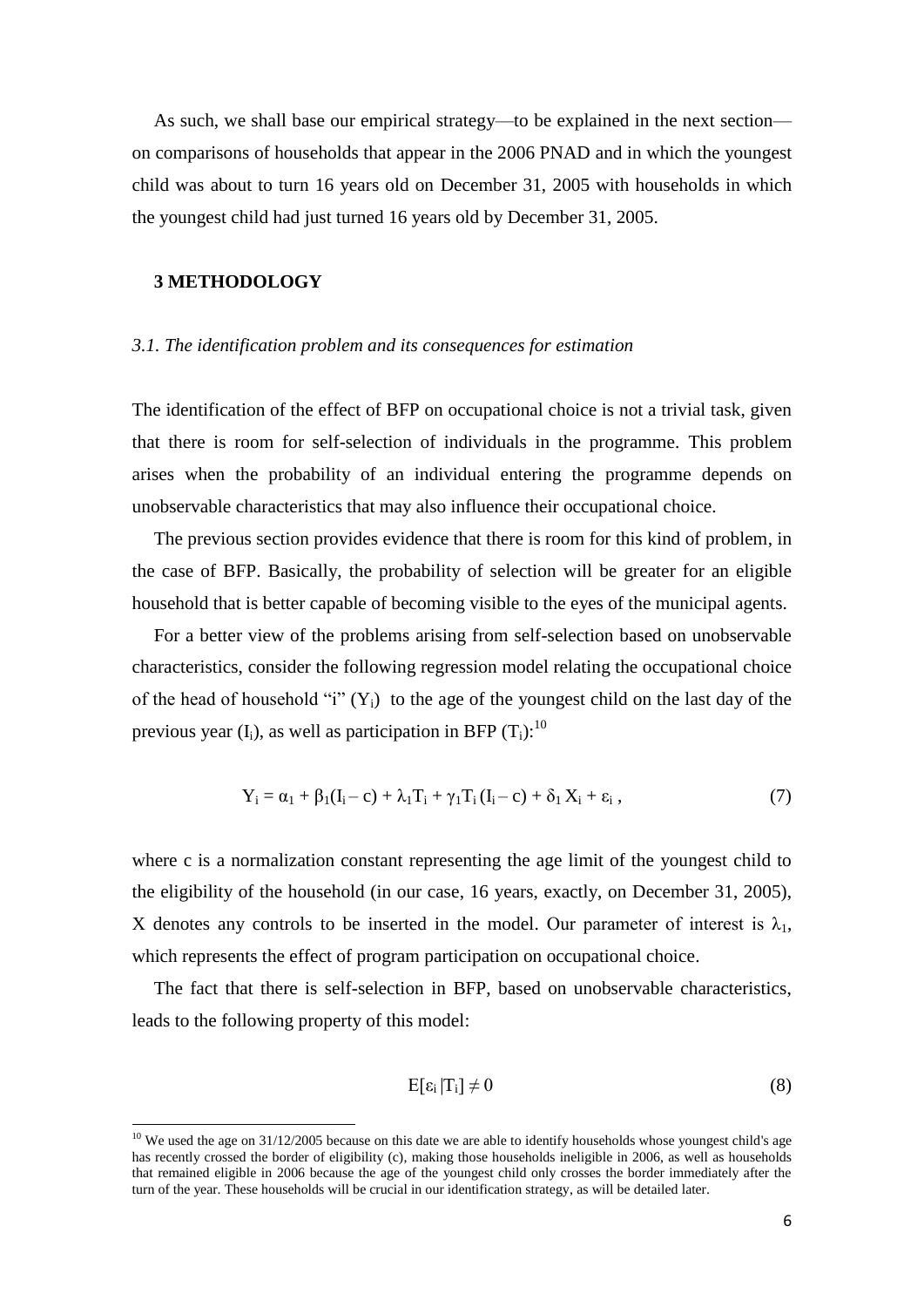As such, we shall base our empirical strategy—to be explained in the next section on comparisons of households that appear in the 2006 PNAD and in which the youngest child was about to turn 16 years old on December 31, 2005 with households in which the youngest child had just turned 16 years old by December 31, 2005.

## **3 METHODOLOGY**

**.** 

## *3.1. The identification problem and its consequences for estimation*

The identification of the effect of BFP on occupational choice is not a trivial task, given that there is room for self-selection of individuals in the programme. This problem arises when the probability of an individual entering the programme depends on unobservable characteristics that may also influence their occupational choice.

The previous section provides evidence that there is room for this kind of problem, in the case of BFP. Basically, the probability of selection will be greater for an eligible household that is better capable of becoming visible to the eyes of the municipal agents.

For a better view of the problems arising from self-selection based on unobservable characteristics, consider the following regression model relating the occupational choice of the head of household "i"  $(Y_i)$  to the age of the youngest child on the last day of the previous year  $(I_i)$ , as well as participation in BFP  $(T_i)$ :<sup>10</sup>

$$
Y_{i} = \alpha_{1} + \beta_{1}(I_{i} - c) + \lambda_{1}T_{i} + \gamma_{1}T_{i}(I_{i} - c) + \delta_{1}X_{i} + \varepsilon_{i}, \qquad (7)
$$

where c is a normalization constant representing the age limit of the youngest child to the eligibility of the household (in our case, 16 years, exactly, on December 31, 2005), X denotes any controls to be inserted in the model. Our parameter of interest is  $\lambda_1$ , which represents the effect of program participation on occupational choice.

The fact that there is self-selection in BFP, based on unobservable characteristics, leads to the following property of this model:

$$
E[\varepsilon_i|T_i] \neq 0 \tag{8}
$$

 $10$  We used the age on  $31/12/2005$  because on this date we are able to identify households whose youngest child's age has recently crossed the border of eligibility (c), making those households ineligible in 2006, as well as households that remained eligible in 2006 because the age of the youngest child only crosses the border immediately after the turn of the year. These households will be crucial in our identification strategy, as will be detailed later.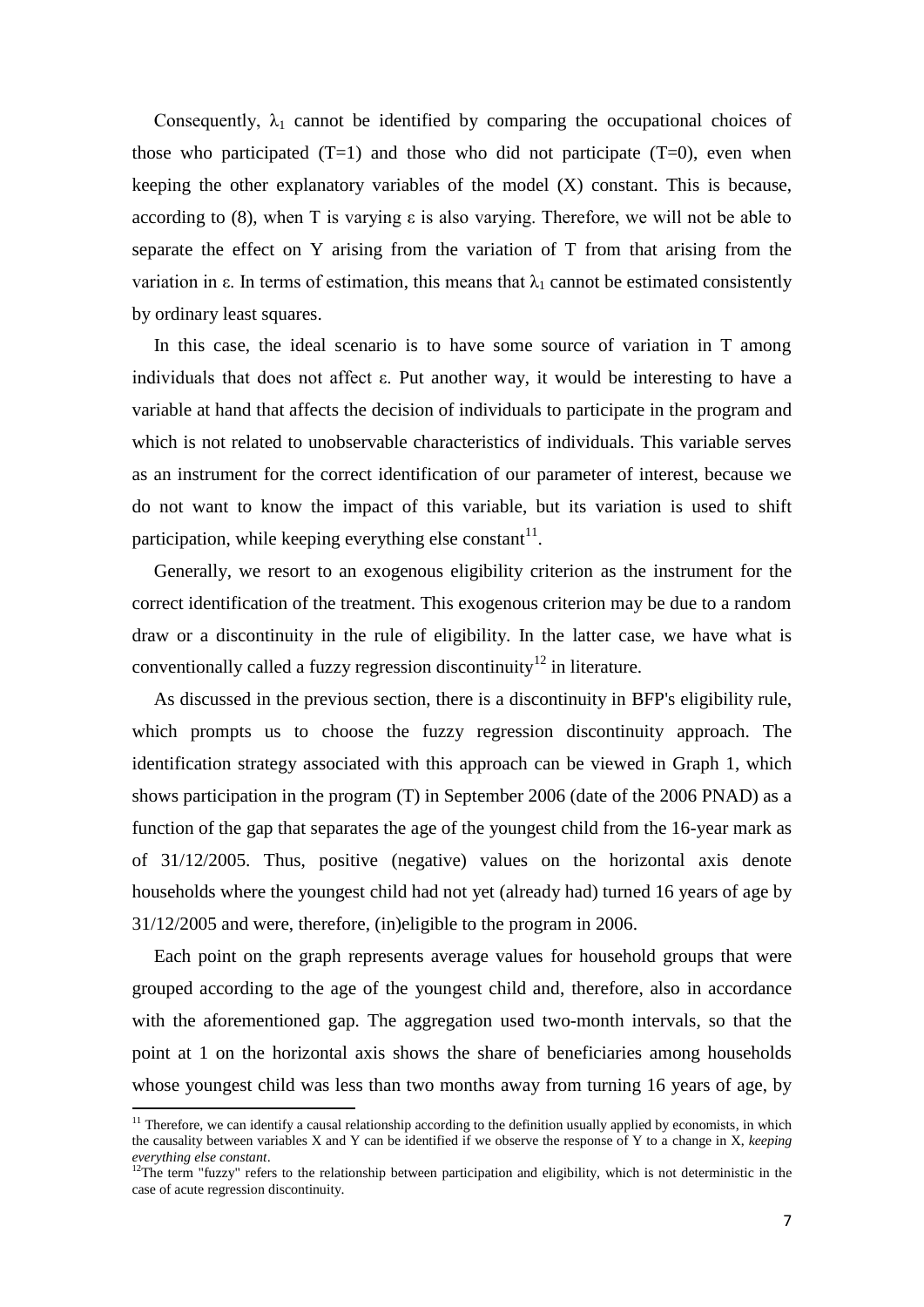Consequently,  $\lambda_1$  cannot be identified by comparing the occupational choices of those who participated  $(T=1)$  and those who did not participate  $(T=0)$ , even when keeping the other explanatory variables of the model (X) constant. This is because, according to (8), when T is varying ε is also varying. Therefore, we will not be able to separate the effect on Y arising from the variation of T from that arising from the variation in ε. In terms of estimation, this means that  $\lambda_1$  cannot be estimated consistently by ordinary least squares.

In this case, the ideal scenario is to have some source of variation in T among individuals that does not affect ε. Put another way, it would be interesting to have a variable at hand that affects the decision of individuals to participate in the program and which is not related to unobservable characteristics of individuals. This variable serves as an instrument for the correct identification of our parameter of interest, because we do not want to know the impact of this variable, but its variation is used to shift participation, while keeping everything else constant $11$ .

Generally, we resort to an exogenous eligibility criterion as the instrument for the correct identification of the treatment. This exogenous criterion may be due to a random draw or a discontinuity in the rule of eligibility. In the latter case, we have what is conventionally called a fuzzy regression discontinuity<sup>12</sup> in literature.

As discussed in the previous section, there is a discontinuity in BFP's eligibility rule, which prompts us to choose the fuzzy regression discontinuity approach. The identification strategy associated with this approach can be viewed in Graph 1, which shows participation in the program (T) in September 2006 (date of the 2006 PNAD) as a function of the gap that separates the age of the youngest child from the 16-year mark as of 31/12/2005. Thus, positive (negative) values on the horizontal axis denote households where the youngest child had not yet (already had) turned 16 years of age by 31/12/2005 and were, therefore, (in)eligible to the program in 2006.

Each point on the graph represents average values for household groups that were grouped according to the age of the youngest child and, therefore, also in accordance with the aforementioned gap. The aggregation used two-month intervals, so that the point at 1 on the horizontal axis shows the share of beneficiaries among households whose youngest child was less than two months away from turning 16 years of age, by

1

 $11$  Therefore, we can identify a causal relationship according to the definition usually applied by economists, in which the causality between variables X and Y can be identified if we observe the response of Y to a change in X, *keeping everything else constant*.

 $12$ The term "fuzzy" refers to the relationship between participation and eligibility, which is not deterministic in the case of acute regression discontinuity.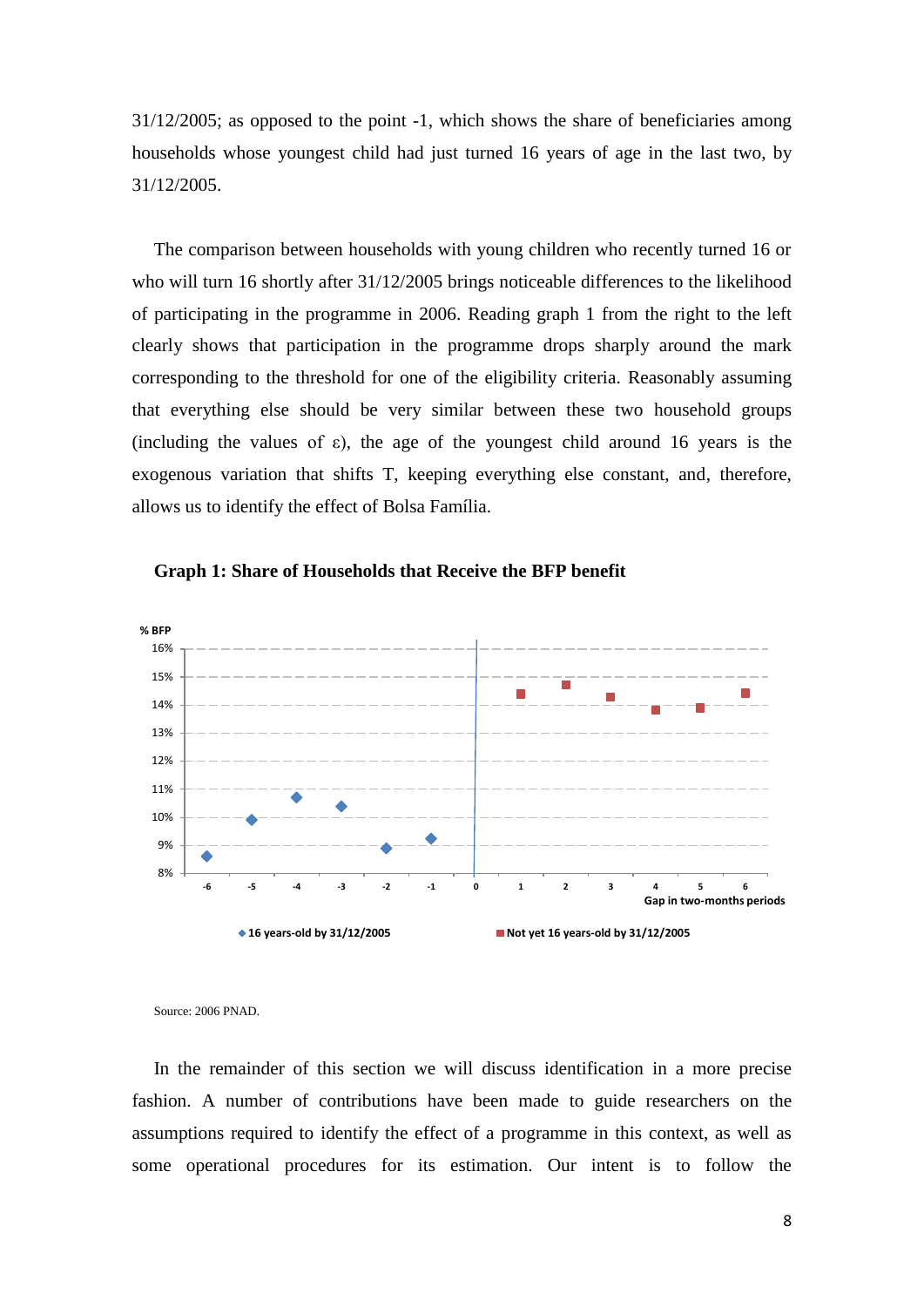31/12/2005; as opposed to the point -1, which shows the share of beneficiaries among households whose youngest child had just turned 16 years of age in the last two, by 31/12/2005.

The comparison between households with young children who recently turned 16 or who will turn 16 shortly after 31/12/2005 brings noticeable differences to the likelihood of participating in the programme in 2006. Reading graph 1 from the right to the left clearly shows that participation in the programme drops sharply around the mark corresponding to the threshold for one of the eligibility criteria. Reasonably assuming that everything else should be very similar between these two household groups (including the values of  $\varepsilon$ ), the age of the youngest child around 16 years is the exogenous variation that shifts T, keeping everything else constant, and, therefore, allows us to identify the effect of Bolsa Família.





Source: 2006 PNAD.

In the remainder of this section we will discuss identification in a more precise fashion. A number of contributions have been made to guide researchers on the assumptions required to identify the effect of a programme in this context, as well as some operational procedures for its estimation. Our intent is to follow the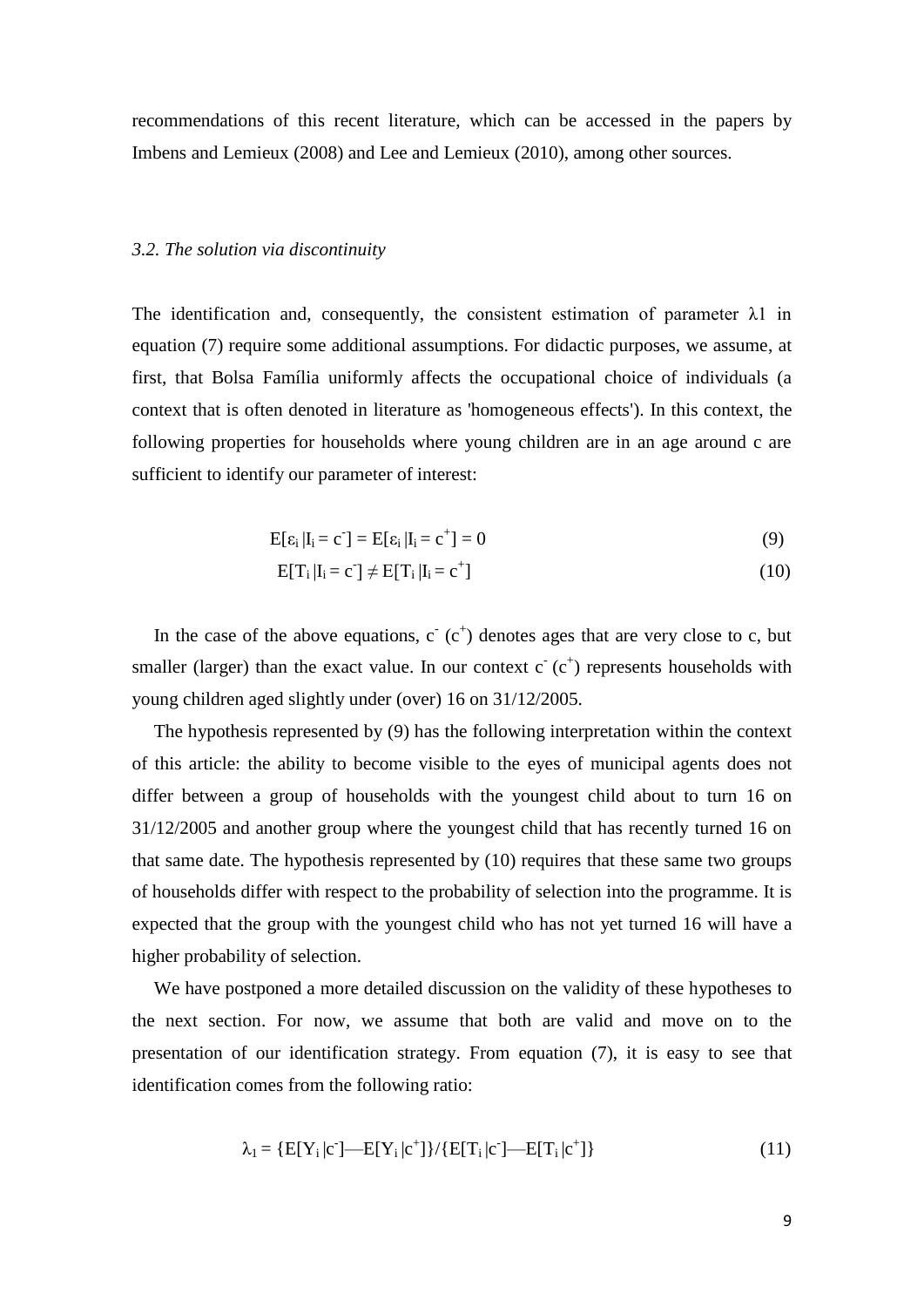recommendations of this recent literature, which can be accessed in the papers by Imbens and Lemieux (2008) and Lee and Lemieux (2010), among other sources.

## *3.2. The solution via discontinuity*

The identification and, consequently, the consistent estimation of parameter  $\lambda$ 1 in equation (7) require some additional assumptions. For didactic purposes, we assume, at first, that Bolsa Família uniformly affects the occupational choice of individuals (a context that is often denoted in literature as 'homogeneous effects'). In this context, the following properties for households where young children are in an age around c are sufficient to identify our parameter of interest:

$$
E[\varepsilon_i | I_i = c^{\dagger}] = E[\varepsilon_i | I_i = c^{\dagger}] = 0 \tag{9}
$$

$$
E[T_i | I_i = c^{\dagger}] \neq E[T_i | I_i = c^{\dagger}] \tag{10}
$$

In the case of the above equations,  $c^{\dagger}$  ( $c^{\dagger}$ ) denotes ages that are very close to c, but smaller (larger) than the exact value. In our context  $c^-(c^+)$  represents households with young children aged slightly under (over) 16 on 31/12/2005.

The hypothesis represented by (9) has the following interpretation within the context of this article: the ability to become visible to the eyes of municipal agents does not differ between a group of households with the youngest child about to turn 16 on 31/12/2005 and another group where the youngest child that has recently turned 16 on that same date. The hypothesis represented by (10) requires that these same two groups of households differ with respect to the probability of selection into the programme. It is expected that the group with the youngest child who has not yet turned 16 will have a higher probability of selection.

We have postponed a more detailed discussion on the validity of these hypotheses to the next section. For now, we assume that both are valid and move on to the presentation of our identification strategy. From equation (7), it is easy to see that identification comes from the following ratio:

$$
\lambda_1 = \{ E[Y_i | c^{\dagger}] - E[Y_i | c^{\dagger}] \} / \{ E[T_i | c^{\dagger}] - E[T_i | c^{\dagger}] \}
$$
(11)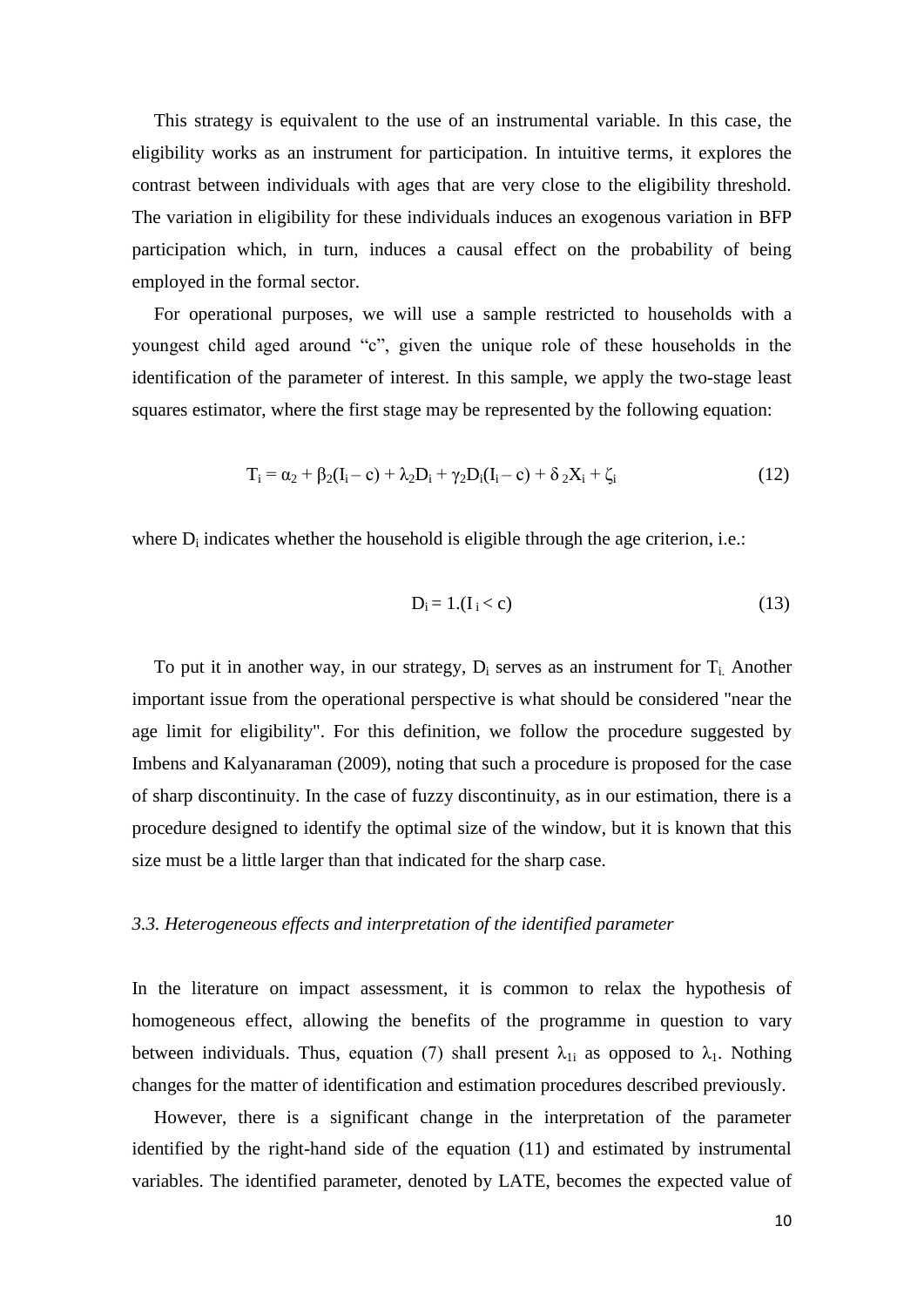This strategy is equivalent to the use of an instrumental variable. In this case, the eligibility works as an instrument for participation. In intuitive terms, it explores the contrast between individuals with ages that are very close to the eligibility threshold. The variation in eligibility for these individuals induces an exogenous variation in BFP participation which, in turn, induces a causal effect on the probability of being employed in the formal sector.

For operational purposes, we will use a sample restricted to households with a youngest child aged around "c", given the unique role of these households in the identification of the parameter of interest. In this sample, we apply the two-stage least squares estimator, where the first stage may be represented by the following equation:

$$
T_i = \alpha_2 + \beta_2(I_i - c) + \lambda_2 D_i + \gamma_2 D_i(I_i - c) + \delta_2 X_i + \zeta_i
$$
\n(12)

where  $D_i$  indicates whether the household is eligible through the age criterion, i.e.:

$$
D_i = 1.(I_i < c) \tag{13}
$$

To put it in another way, in our strategy,  $D_i$  serves as an instrument for  $T_i$ . Another important issue from the operational perspective is what should be considered "near the age limit for eligibility". For this definition, we follow the procedure suggested by Imbens and Kalyanaraman (2009), noting that such a procedure is proposed for the case of sharp discontinuity. In the case of fuzzy discontinuity, as in our estimation, there is a procedure designed to identify the optimal size of the window, but it is known that this size must be a little larger than that indicated for the sharp case.

## *3.3. Heterogeneous effects and interpretation of the identified parameter*

In the literature on impact assessment, it is common to relax the hypothesis of homogeneous effect, allowing the benefits of the programme in question to vary between individuals. Thus, equation (7) shall present  $\lambda_{1i}$  as opposed to  $\lambda_1$ . Nothing changes for the matter of identification and estimation procedures described previously.

However, there is a significant change in the interpretation of the parameter identified by the right-hand side of the equation (11) and estimated by instrumental variables. The identified parameter, denoted by LATE, becomes the expected value of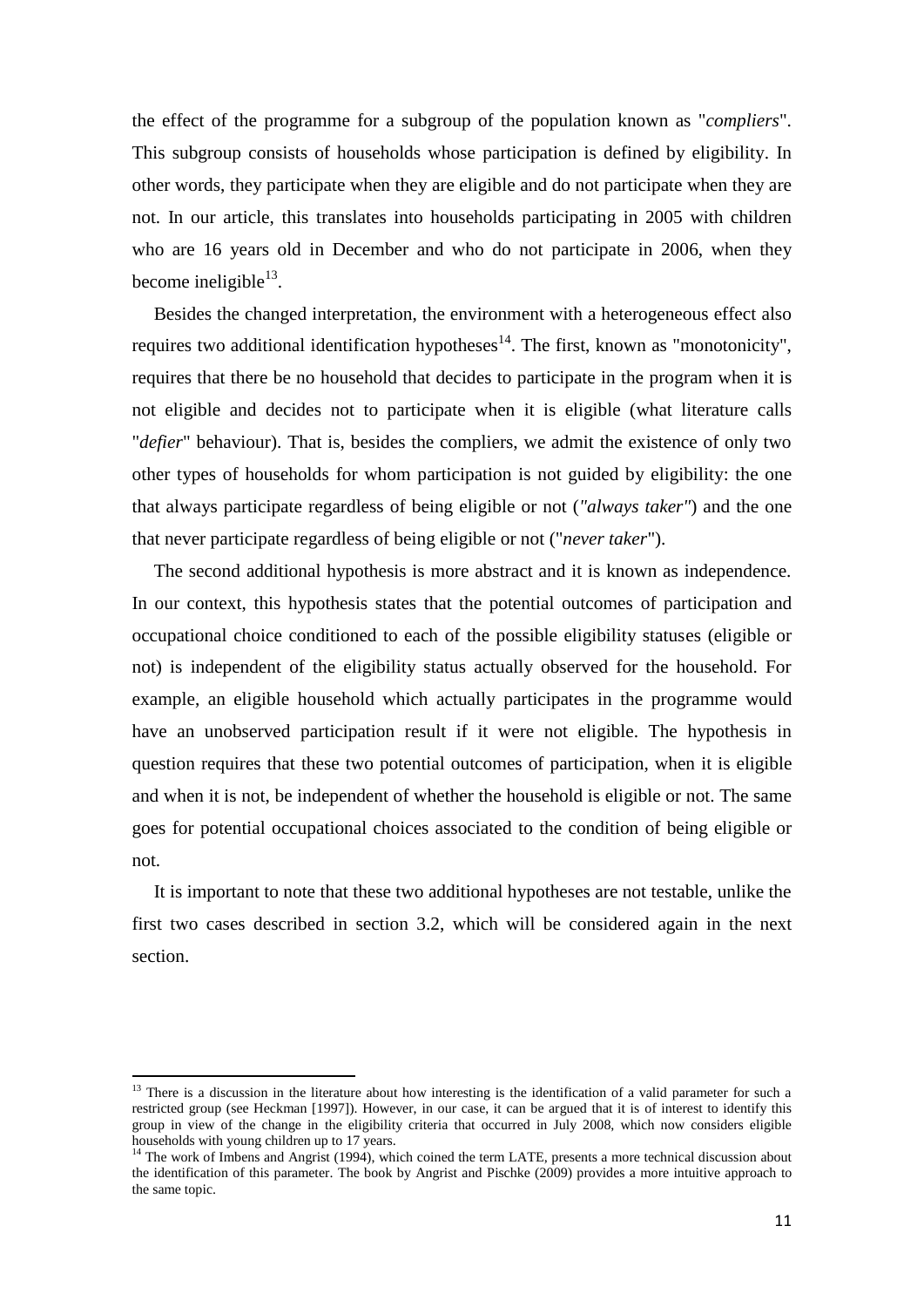the effect of the programme for a subgroup of the population known as "*compliers*". This subgroup consists of households whose participation is defined by eligibility. In other words, they participate when they are eligible and do not participate when they are not. In our article, this translates into households participating in 2005 with children who are 16 years old in December and who do not participate in 2006, when they become ineligible $^{13}$ .

Besides the changed interpretation, the environment with a heterogeneous effect also requires two additional identification hypotheses $^{14}$ . The first, known as "monotonicity", requires that there be no household that decides to participate in the program when it is not eligible and decides not to participate when it is eligible (what literature calls "*defier*" behaviour). That is, besides the compliers, we admit the existence of only two other types of households for whom participation is not guided by eligibility: the one that always participate regardless of being eligible or not (*"always taker"*) and the one that never participate regardless of being eligible or not ("*never taker*").

The second additional hypothesis is more abstract and it is known as independence. In our context, this hypothesis states that the potential outcomes of participation and occupational choice conditioned to each of the possible eligibility statuses (eligible or not) is independent of the eligibility status actually observed for the household. For example, an eligible household which actually participates in the programme would have an unobserved participation result if it were not eligible. The hypothesis in question requires that these two potential outcomes of participation, when it is eligible and when it is not, be independent of whether the household is eligible or not. The same goes for potential occupational choices associated to the condition of being eligible or not.

It is important to note that these two additional hypotheses are not testable, unlike the first two cases described in section 3.2, which will be considered again in the next section.

**.** 

 $13$  There is a discussion in the literature about how interesting is the identification of a valid parameter for such a restricted group (see Heckman [1997]). However, in our case, it can be argued that it is of interest to identify this group in view of the change in the eligibility criteria that occurred in July 2008, which now considers eligible households with young children up to 17 years.

<sup>&</sup>lt;sup>14</sup> The work of Imbens and Angrist (1994), which coined the term LATE, presents a more technical discussion about the identification of this parameter. The book by Angrist and Pischke (2009) provides a more intuitive approach to the same topic.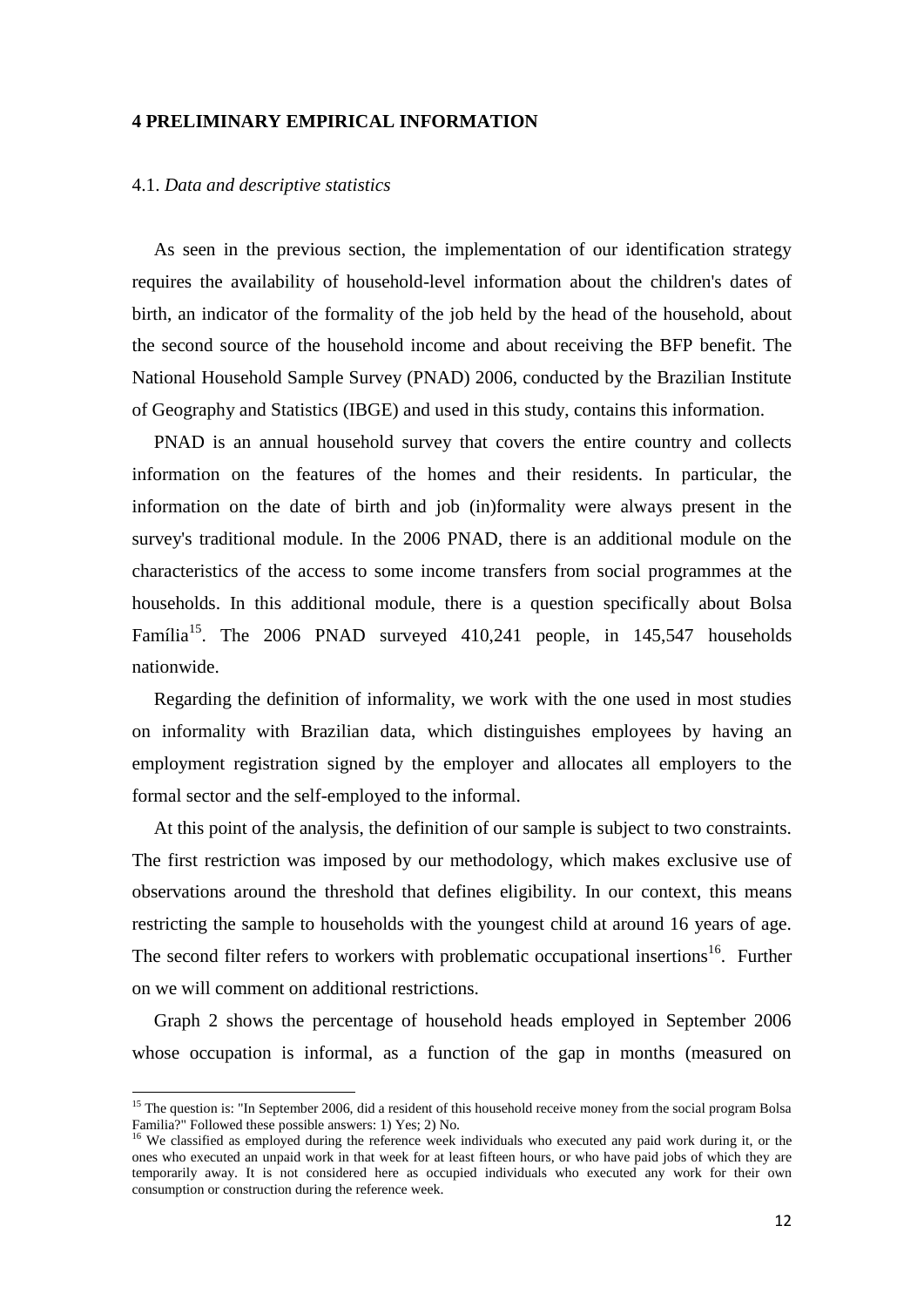### **4 PRELIMINARY EMPIRICAL INFORMATION**

#### 4.1. *Data and descriptive statistics*

**.** 

As seen in the previous section, the implementation of our identification strategy requires the availability of household-level information about the children's dates of birth, an indicator of the formality of the job held by the head of the household, about the second source of the household income and about receiving the BFP benefit. The National Household Sample Survey (PNAD) 2006, conducted by the Brazilian Institute of Geography and Statistics (IBGE) and used in this study, contains this information.

PNAD is an annual household survey that covers the entire country and collects information on the features of the homes and their residents. In particular, the information on the date of birth and job (in)formality were always present in the survey's traditional module. In the 2006 PNAD, there is an additional module on the characteristics of the access to some income transfers from social programmes at the households. In this additional module, there is a question specifically about Bolsa Família<sup>15</sup>. The 2006 PNAD surveyed 410,241 people, in 145,547 households nationwide.

Regarding the definition of informality, we work with the one used in most studies on informality with Brazilian data, which distinguishes employees by having an employment registration signed by the employer and allocates all employers to the formal sector and the self-employed to the informal.

At this point of the analysis, the definition of our sample is subject to two constraints. The first restriction was imposed by our methodology, which makes exclusive use of observations around the threshold that defines eligibility. In our context, this means restricting the sample to households with the youngest child at around 16 years of age. The second filter refers to workers with problematic occupational insertions<sup>16</sup>. Further on we will comment on additional restrictions.

Graph 2 shows the percentage of household heads employed in September 2006 whose occupation is informal, as a function of the gap in months (measured on

<sup>&</sup>lt;sup>15</sup> The question is: "In September 2006, did a resident of this household receive money from the social program Bolsa Familia?" Followed these possible answers: 1) Yes; 2) No.

<sup>&</sup>lt;sup>16</sup> We classified as employed during the reference week individuals who executed any paid work during it, or the ones who executed an unpaid work in that week for at least fifteen hours, or who have paid jobs of which they are temporarily away. It is not considered here as occupied individuals who executed any work for their own consumption or construction during the reference week.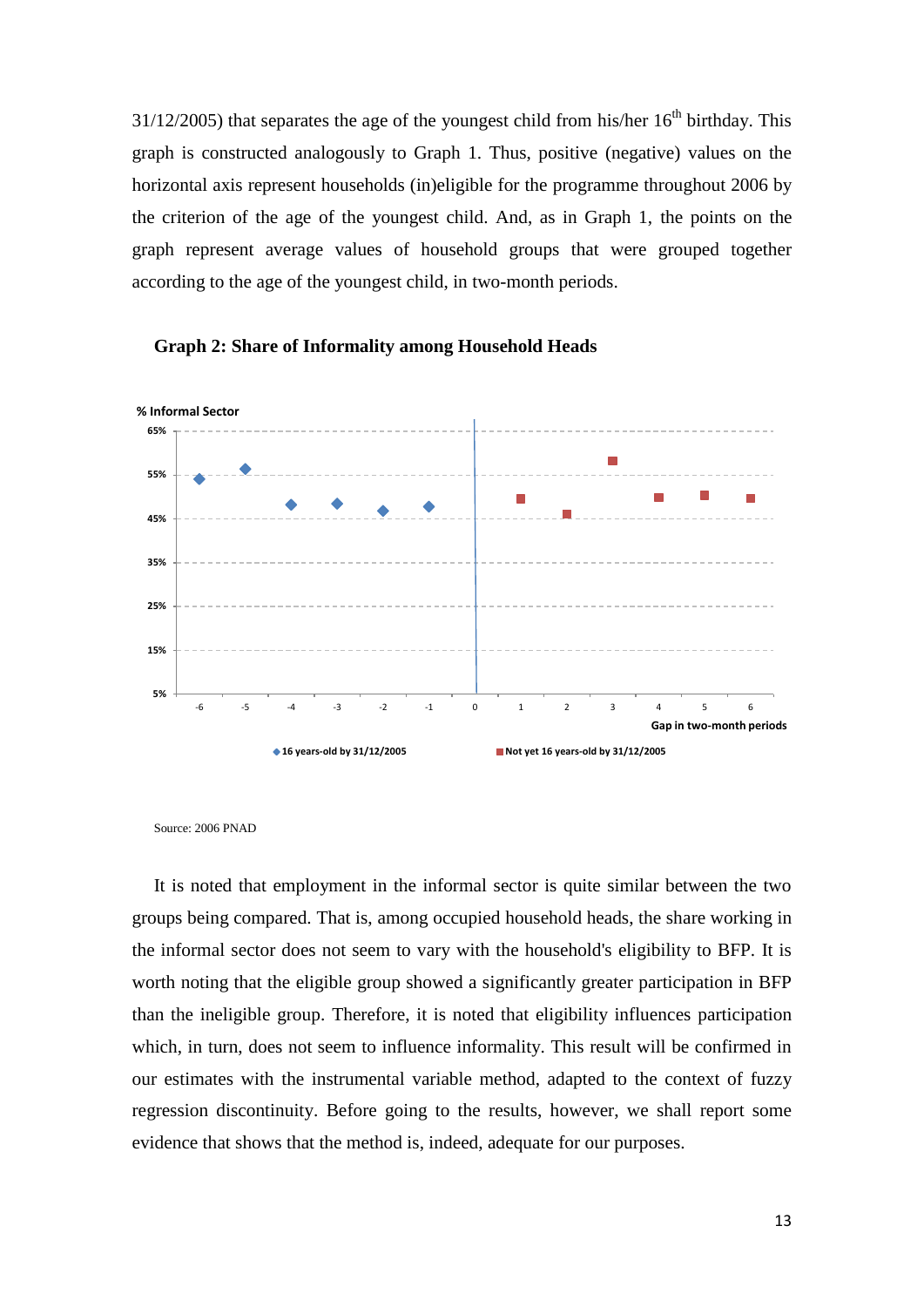$31/12/2005$ ) that separates the age of the youngest child from his/her  $16<sup>th</sup>$  birthday. This graph is constructed analogously to Graph 1. Thus, positive (negative) values on the horizontal axis represent households (in)eligible for the programme throughout 2006 by the criterion of the age of the youngest child. And, as in Graph 1, the points on the graph represent average values of household groups that were grouped together according to the age of the youngest child, in two-month periods.



#### **Graph 2: Share of Informality among Household Heads**

Source: 2006 PNAD

It is noted that employment in the informal sector is quite similar between the two groups being compared. That is, among occupied household heads, the share working in the informal sector does not seem to vary with the household's eligibility to BFP. It is worth noting that the eligible group showed a significantly greater participation in BFP than the ineligible group. Therefore, it is noted that eligibility influences participation which, in turn, does not seem to influence informality. This result will be confirmed in our estimates with the instrumental variable method, adapted to the context of fuzzy regression discontinuity. Before going to the results, however, we shall report some evidence that shows that the method is, indeed, adequate for our purposes.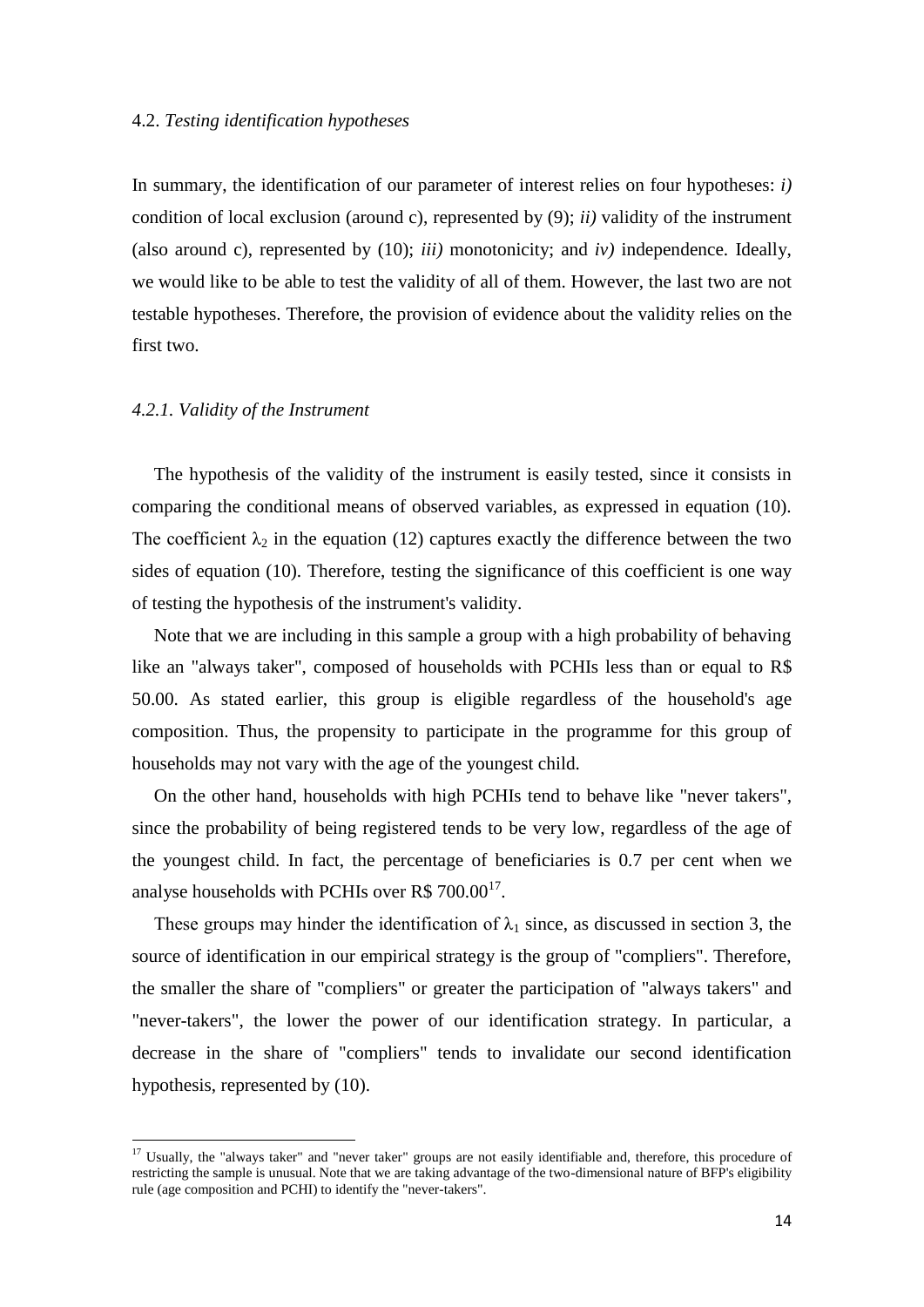In summary, the identification of our parameter of interest relies on four hypotheses: *i)* condition of local exclusion (around c), represented by (9); *ii)* validity of the instrument (also around c), represented by (10); *iii)* monotonicity; and *iv)* independence. Ideally, we would like to be able to test the validity of all of them. However, the last two are not testable hypotheses. Therefore, the provision of evidence about the validity relies on the first two.

## *4.2.1. Validity of the Instrument*

1

The hypothesis of the validity of the instrument is easily tested, since it consists in comparing the conditional means of observed variables, as expressed in equation (10). The coefficient  $\lambda_2$  in the equation (12) captures exactly the difference between the two sides of equation (10). Therefore, testing the significance of this coefficient is one way of testing the hypothesis of the instrument's validity.

Note that we are including in this sample a group with a high probability of behaving like an "always taker", composed of households with PCHIs less than or equal to R\$ 50.00. As stated earlier, this group is eligible regardless of the household's age composition. Thus, the propensity to participate in the programme for this group of households may not vary with the age of the youngest child.

On the other hand, households with high PCHIs tend to behave like "never takers", since the probability of being registered tends to be very low, regardless of the age of the youngest child. In fact, the percentage of beneficiaries is 0.7 per cent when we analyse households with PCHIs over R\$  $700.00^{17}$ .

These groups may hinder the identification of  $\lambda_1$  since, as discussed in section 3, the source of identification in our empirical strategy is the group of "compliers". Therefore, the smaller the share of "compliers" or greater the participation of "always takers" and "never-takers", the lower the power of our identification strategy. In particular, a decrease in the share of "compliers" tends to invalidate our second identification hypothesis, represented by (10).

 $17$  Usually, the "always taker" and "never taker" groups are not easily identifiable and, therefore, this procedure of restricting the sample is unusual. Note that we are taking advantage of the two-dimensional nature of BFP's eligibility rule (age composition and PCHI) to identify the "never-takers".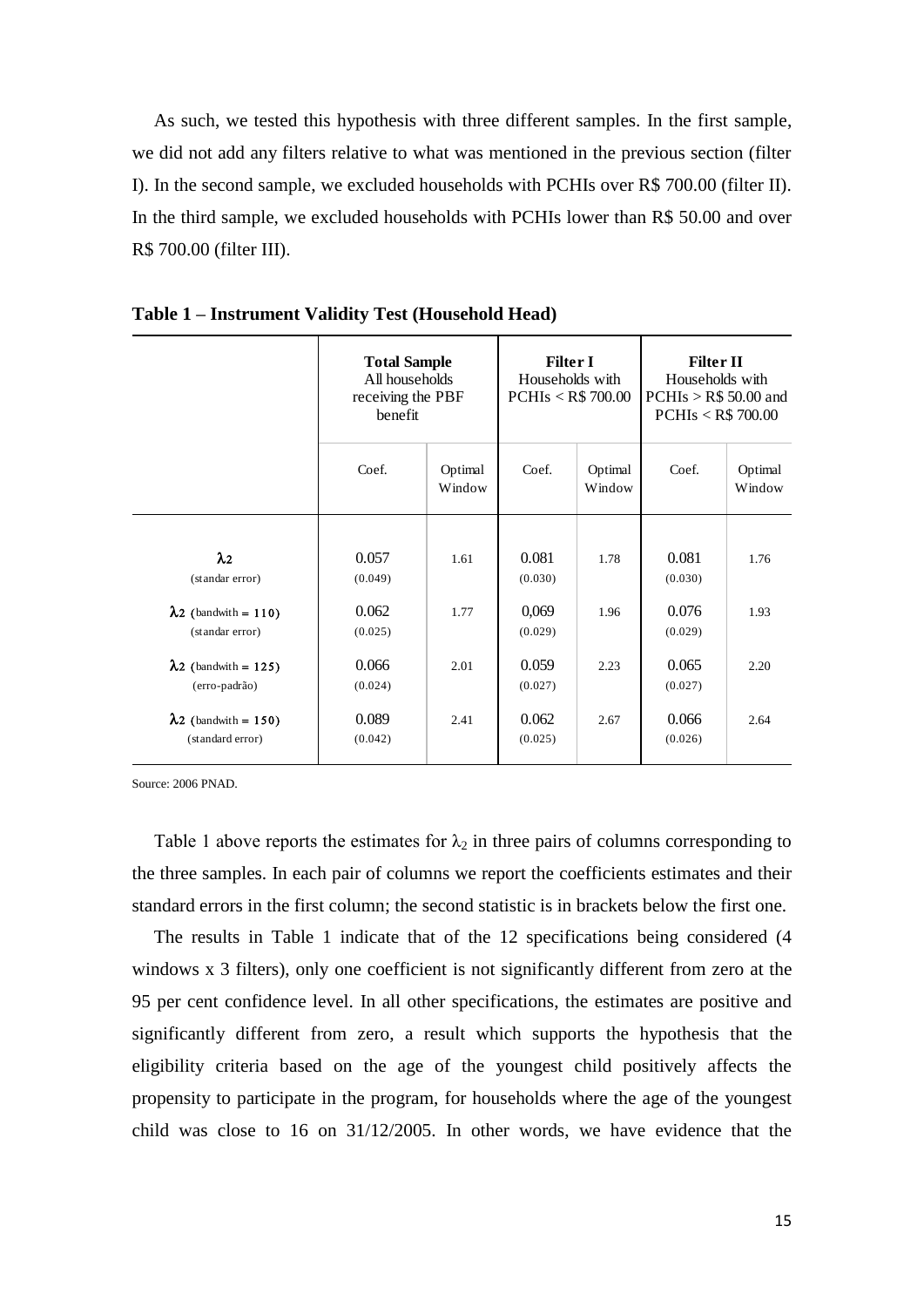As such, we tested this hypothesis with three different samples. In the first sample, we did not add any filters relative to what was mentioned in the previous section (filter I). In the second sample, we excluded households with PCHIs over R\$ 700.00 (filter II). In the third sample, we excluded households with PCHIs lower than R\$ 50.00 and over R\$ 700.00 (filter III).

|                                                  | <b>Total Sample</b><br>All households<br>receiving the PBF<br>benefit |                   | <b>Filter I</b><br>Households with<br>$PCHIs <$ R\$ 700.00 |                   | <b>Filter II</b><br>Households with<br>PCHIs > R\$ 50.00 and<br>$PCHIs <$ R\$ 700.00 |                   |
|--------------------------------------------------|-----------------------------------------------------------------------|-------------------|------------------------------------------------------------|-------------------|--------------------------------------------------------------------------------------|-------------------|
|                                                  | Coef.                                                                 | Optimal<br>Window | Coef.                                                      | Optimal<br>Window | Coef.                                                                                | Optimal<br>Window |
| $\lambda_2$<br>(standar error)                   | 0.057<br>(0.049)                                                      | 1.61              | 0.081<br>(0.030)                                           | 1.78              | 0.081<br>(0.030)                                                                     | 1.76              |
| $\lambda$ 2 (bandwith = 110)<br>(standar error)  | 0.062<br>(0.025)                                                      | 1.77              | 0,069<br>(0.029)                                           | 1.96              | 0.076<br>(0.029)                                                                     | 1.93              |
| $\lambda$ 2 (bandwith = 125)<br>(erro-padrão)    | 0.066<br>(0.024)                                                      | 2.01              | 0.059<br>(0.027)                                           | 2.23              | 0.065<br>(0.027)                                                                     | 2.20              |
| $\lambda$ 2 (bandwith = 150)<br>(standard error) | 0.089<br>(0.042)                                                      | 2.41              | 0.062<br>(0.025)                                           | 2.67              | 0.066<br>(0.026)                                                                     | 2.64              |

**Table 1 – Instrument Validity Test (Household Head)**

Source: 2006 PNAD.

Table 1 above reports the estimates for  $\lambda_2$  in three pairs of columns corresponding to the three samples. In each pair of columns we report the coefficients estimates and their standard errors in the first column; the second statistic is in brackets below the first one.

The results in Table 1 indicate that of the 12 specifications being considered (4 windows x 3 filters), only one coefficient is not significantly different from zero at the 95 per cent confidence level. In all other specifications, the estimates are positive and significantly different from zero, a result which supports the hypothesis that the eligibility criteria based on the age of the youngest child positively affects the propensity to participate in the program, for households where the age of the youngest child was close to 16 on 31/12/2005. In other words, we have evidence that the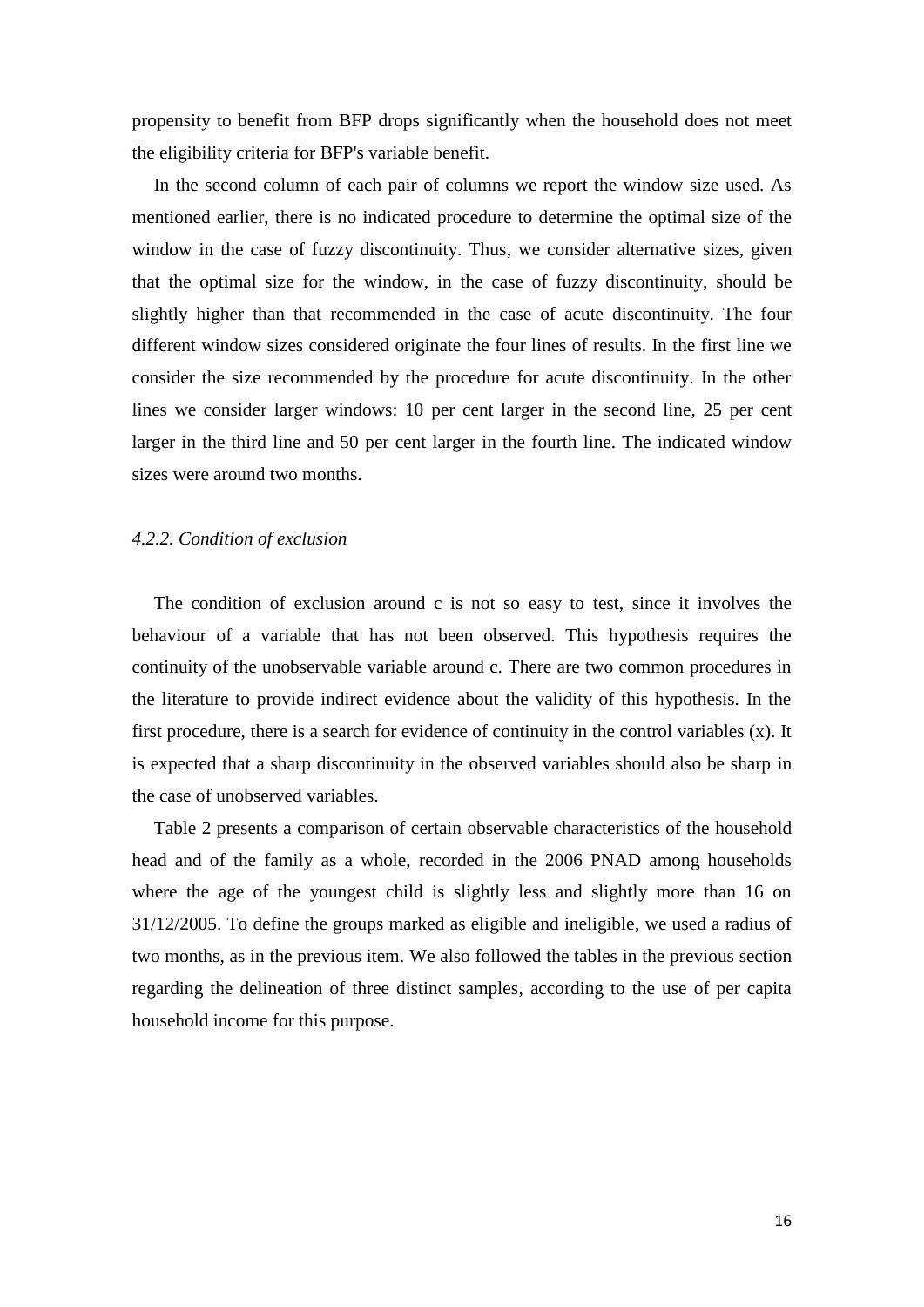propensity to benefit from BFP drops significantly when the household does not meet the eligibility criteria for BFP's variable benefit.

In the second column of each pair of columns we report the window size used. As mentioned earlier, there is no indicated procedure to determine the optimal size of the window in the case of fuzzy discontinuity. Thus, we consider alternative sizes, given that the optimal size for the window, in the case of fuzzy discontinuity, should be slightly higher than that recommended in the case of acute discontinuity. The four different window sizes considered originate the four lines of results. In the first line we consider the size recommended by the procedure for acute discontinuity. In the other lines we consider larger windows: 10 per cent larger in the second line, 25 per cent larger in the third line and 50 per cent larger in the fourth line. The indicated window sizes were around two months.

## *4.2.2. Condition of exclusion*

The condition of exclusion around c is not so easy to test, since it involves the behaviour of a variable that has not been observed. This hypothesis requires the continuity of the unobservable variable around c. There are two common procedures in the literature to provide indirect evidence about the validity of this hypothesis. In the first procedure, there is a search for evidence of continuity in the control variables (x). It is expected that a sharp discontinuity in the observed variables should also be sharp in the case of unobserved variables.

Table 2 presents a comparison of certain observable characteristics of the household head and of the family as a whole, recorded in the 2006 PNAD among households where the age of the youngest child is slightly less and slightly more than 16 on 31/12/2005. To define the groups marked as eligible and ineligible, we used a radius of two months, as in the previous item. We also followed the tables in the previous section regarding the delineation of three distinct samples, according to the use of per capita household income for this purpose.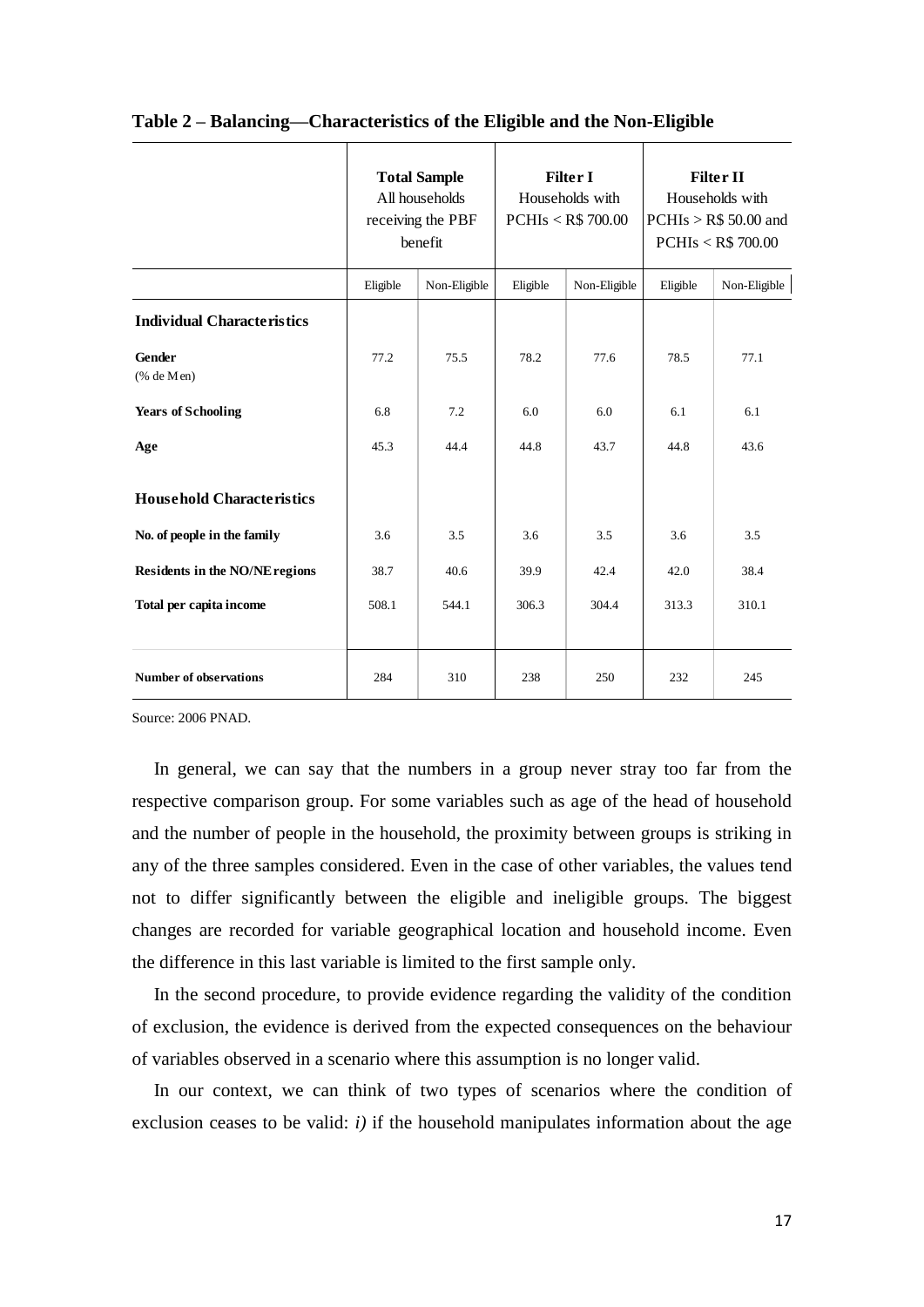|                                       | <b>Total Sample</b><br>All households<br>receiving the PBF<br>benefit |              | <b>Filter I</b><br>Households with<br><b>PCHIs &lt; R\$ 700.00</b> |              | <b>Filter II</b><br>Households with<br>$PCHIs > R$$ 50.00 and<br><b>PCHIs &lt; R\$ 700.00</b> |              |
|---------------------------------------|-----------------------------------------------------------------------|--------------|--------------------------------------------------------------------|--------------|-----------------------------------------------------------------------------------------------|--------------|
|                                       | Eligible                                                              | Non-Eligible | Eligible                                                           | Non-Eligible | Eligible                                                                                      | Non-Eligible |
| <b>Individual Characteristics</b>     |                                                                       |              |                                                                    |              |                                                                                               |              |
| Gender<br>(% de Men)                  | 77.2                                                                  | 75.5         | 78.2                                                               | 77.6         | 78.5                                                                                          | 77.1         |
| <b>Years of Schooling</b>             | 6.8                                                                   | 7.2          | 6.0                                                                | 6.0          | 6.1                                                                                           | 6.1          |
| Age                                   | 45.3                                                                  | 44.4         | 44.8                                                               | 43.7         | 44.8                                                                                          | 43.6         |
| <b>Household Characteristics</b>      |                                                                       |              |                                                                    |              |                                                                                               |              |
| No. of people in the family           | 3.6                                                                   | 3.5          | 3.6                                                                | 3.5          | 3.6                                                                                           | 3.5          |
| <b>Residents in the NO/NE regions</b> | 38.7                                                                  | 40.6         | 39.9                                                               | 42.4         | 42.0                                                                                          | 38.4         |
| Total per capita income               | 508.1                                                                 | 544.1        | 306.3                                                              | 304.4        | 313.3                                                                                         | 310.1        |
| <b>Number of observations</b>         | 284                                                                   | 310          | 238                                                                | 250          | 232                                                                                           | 245          |

# **Table 2 – Balancing—Characteristics of the Eligible and the Non-Eligible**

Source: 2006 PNAD.

In general, we can say that the numbers in a group never stray too far from the respective comparison group. For some variables such as age of the head of household and the number of people in the household, the proximity between groups is striking in any of the three samples considered. Even in the case of other variables, the values tend not to differ significantly between the eligible and ineligible groups. The biggest changes are recorded for variable geographical location and household income. Even the difference in this last variable is limited to the first sample only.

In the second procedure, to provide evidence regarding the validity of the condition of exclusion, the evidence is derived from the expected consequences on the behaviour of variables observed in a scenario where this assumption is no longer valid.

In our context, we can think of two types of scenarios where the condition of exclusion ceases to be valid: *i)* if the household manipulates information about the age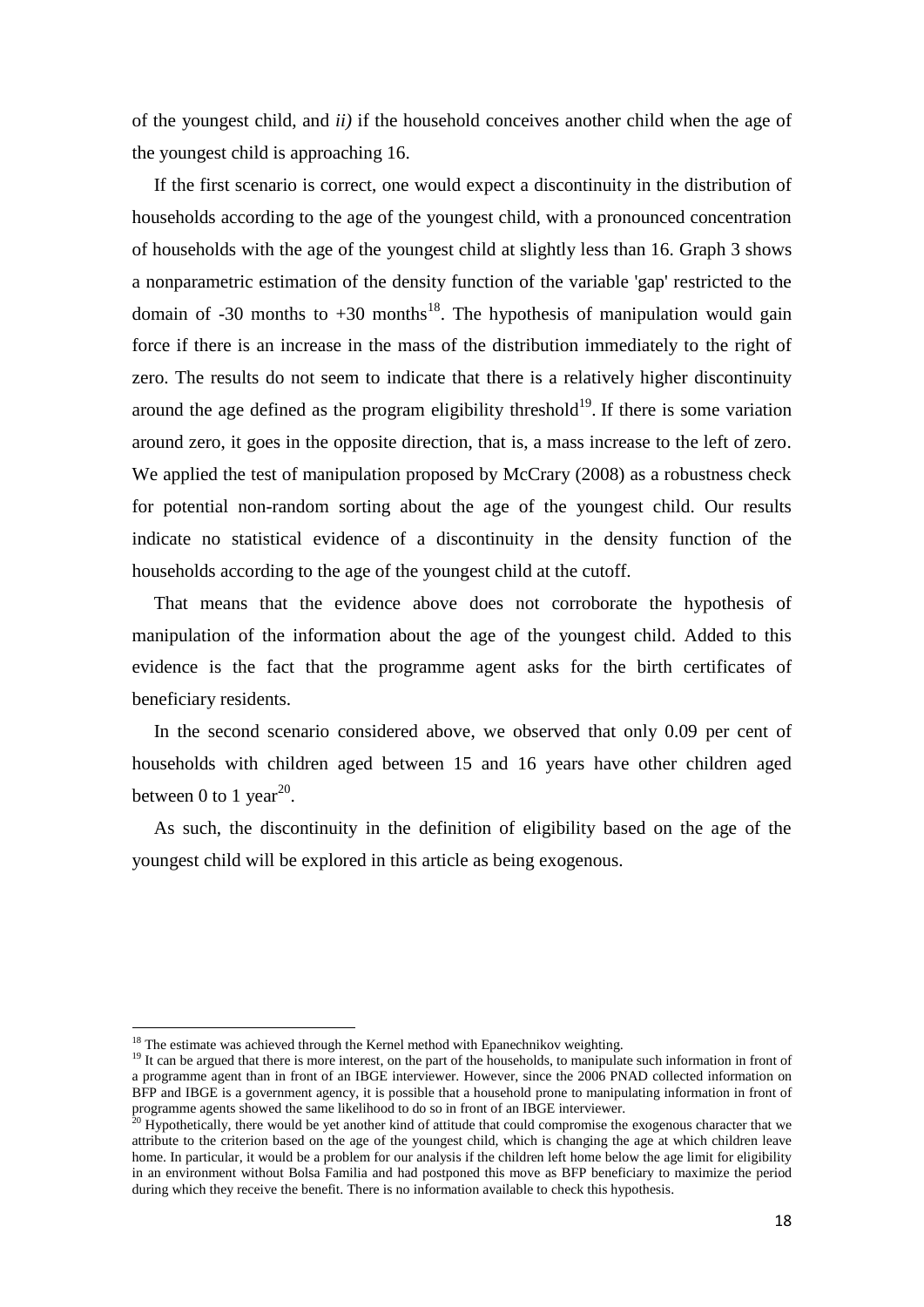of the youngest child, and *ii)* if the household conceives another child when the age of the youngest child is approaching 16.

If the first scenario is correct, one would expect a discontinuity in the distribution of households according to the age of the youngest child, with a pronounced concentration of households with the age of the youngest child at slightly less than 16. Graph 3 shows a nonparametric estimation of the density function of the variable 'gap' restricted to the domain of -30 months to +30 months<sup>18</sup>. The hypothesis of manipulation would gain force if there is an increase in the mass of the distribution immediately to the right of zero. The results do not seem to indicate that there is a relatively higher discontinuity around the age defined as the program eligibility threshold<sup>19</sup>. If there is some variation around zero, it goes in the opposite direction, that is, a mass increase to the left of zero. We applied the test of manipulation proposed by McCrary (2008) as a robustness check for potential non-random sorting about the age of the youngest child. Our results indicate no statistical evidence of a discontinuity in the density function of the households according to the age of the youngest child at the cutoff.

That means that the evidence above does not corroborate the hypothesis of manipulation of the information about the age of the youngest child. Added to this evidence is the fact that the programme agent asks for the birth certificates of beneficiary residents.

In the second scenario considered above, we observed that only 0.09 per cent of households with children aged between 15 and 16 years have other children aged between 0 to 1 year<sup>20</sup>.

As such, the discontinuity in the definition of eligibility based on the age of the youngest child will be explored in this article as being exogenous.

1

 $18$  The estimate was achieved through the Kernel method with Epanechnikov weighting.

 $19$  It can be argued that there is more interest, on the part of the households, to manipulate such information in front of a programme agent than in front of an IBGE interviewer. However, since the 2006 PNAD collected information on BFP and IBGE is a government agency, it is possible that a household prone to manipulating information in front of programme agents showed the same likelihood to do so in front of an IBGE interviewer.

 $20$  Hypothetically, there would be yet another kind of attitude that could compromise the exogenous character that we attribute to the criterion based on the age of the youngest child, which is changing the age at which children leave home. In particular, it would be a problem for our analysis if the children left home below the age limit for eligibility in an environment without Bolsa Familia and had postponed this move as BFP beneficiary to maximize the period during which they receive the benefit. There is no information available to check this hypothesis.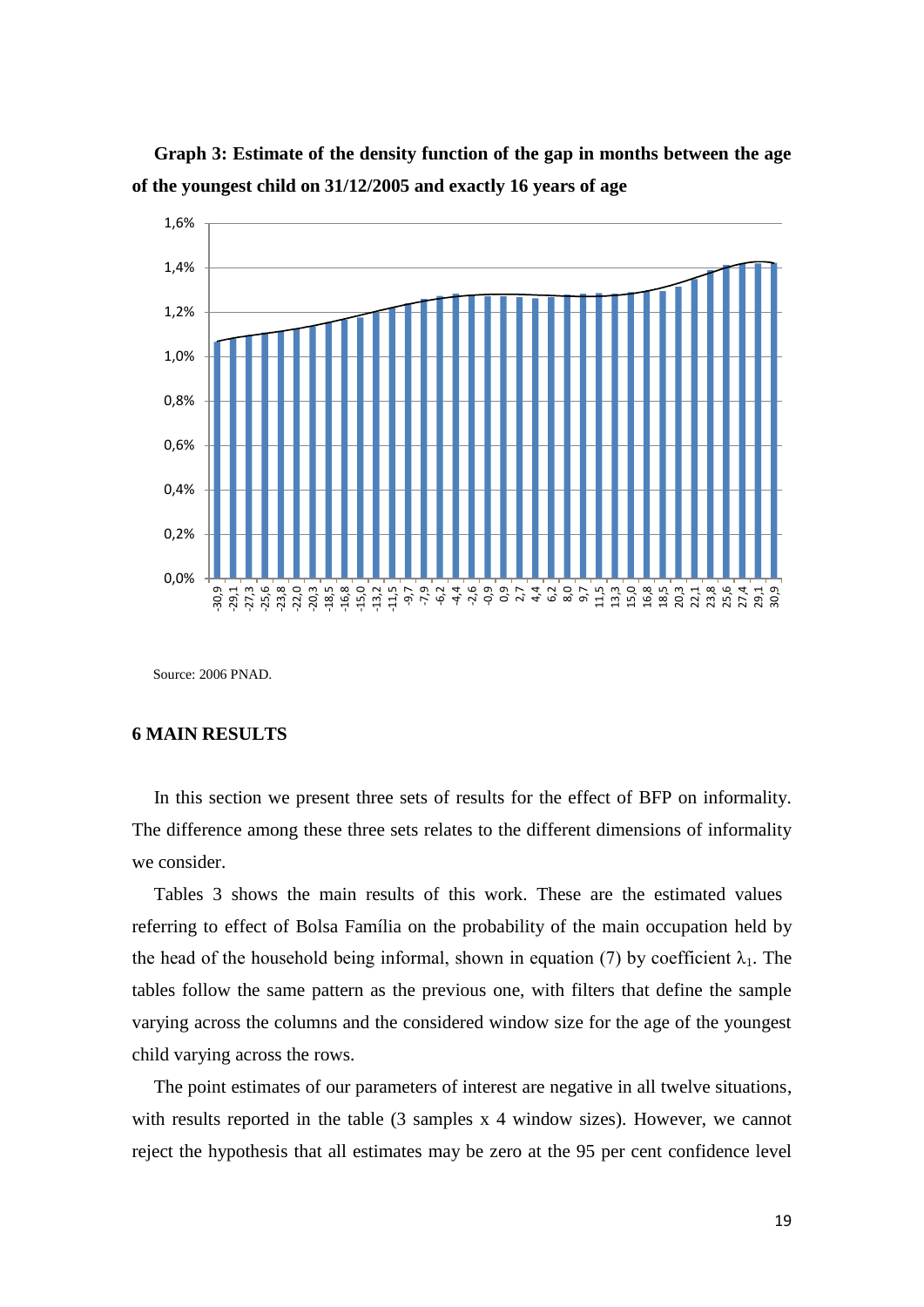**Graph 3: Estimate of the density function of the gap in months between the age of the youngest child on 31/12/2005 and exactly 16 years of age** 



Source: 2006 PNAD.

## **6 MAIN RESULTS**

In this section we present three sets of results for the effect of BFP on informality. The difference among these three sets relates to the different dimensions of informality we consider.

Tables 3 shows the main results of this work. These are the estimated values referring to effect of Bolsa Família on the probability of the main occupation held by the head of the household being informal, shown in equation (7) by coefficient  $\lambda_1$ . The tables follow the same pattern as the previous one, with filters that define the sample varying across the columns and the considered window size for the age of the youngest child varying across the rows.

The point estimates of our parameters of interest are negative in all twelve situations, with results reported in the table (3 samples x 4 window sizes). However, we cannot reject the hypothesis that all estimates may be zero at the 95 per cent confidence level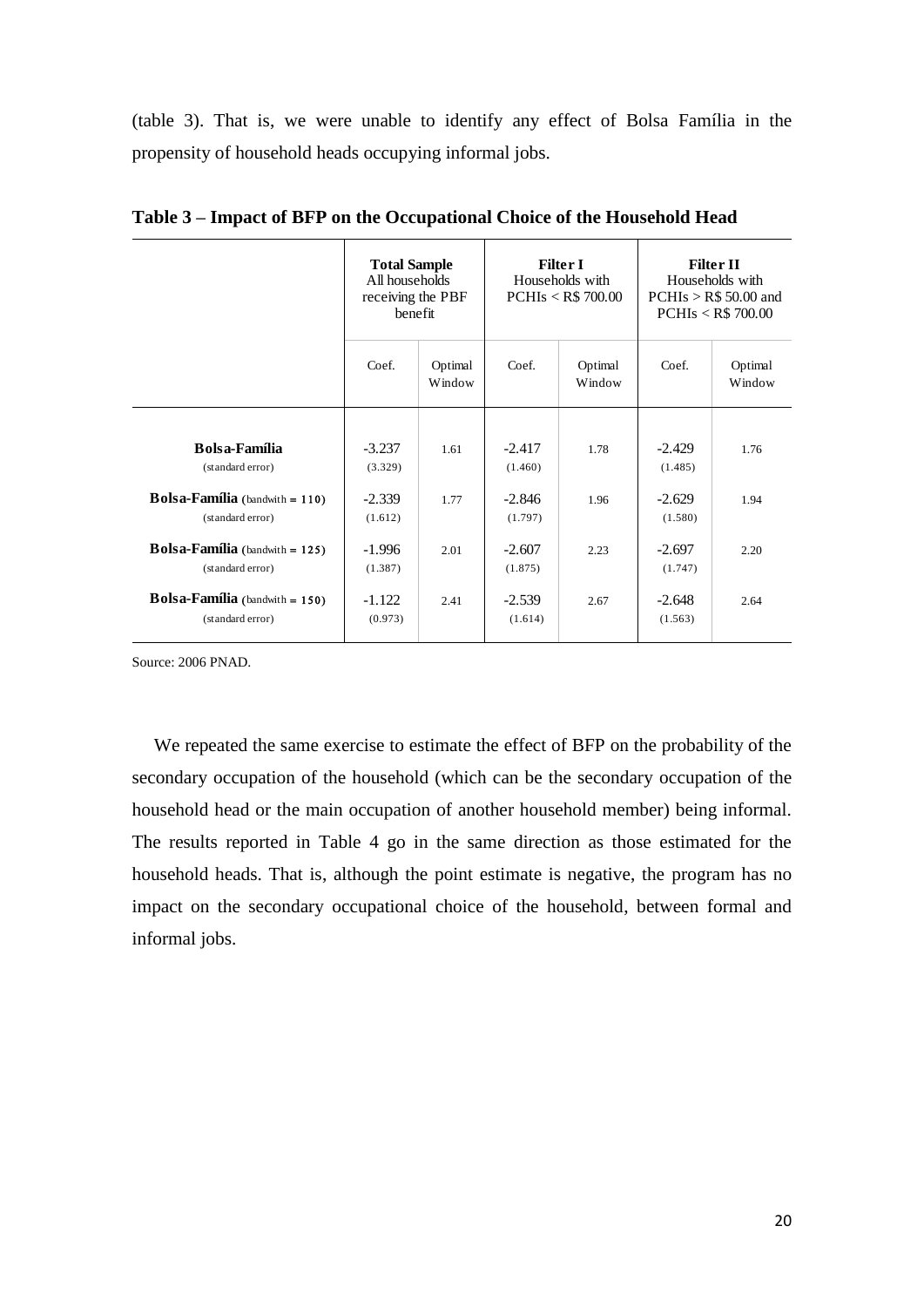(table 3). That is, we were unable to identify any effect of Bolsa Família in the propensity of household heads occupying informal jobs.

|                                                              | <b>Total Sample</b><br>All households<br>receiving the PBF<br>benefit |                   | <b>Filter I</b><br>Households with<br>$PCHIs <$ R\$ 700.00 |                   | Filter II<br>Households with<br>PCHIs > R\$ 50.00 and<br>$PCHIs <$ R\$ 700.00 |                   |
|--------------------------------------------------------------|-----------------------------------------------------------------------|-------------------|------------------------------------------------------------|-------------------|-------------------------------------------------------------------------------|-------------------|
|                                                              | Coef.                                                                 | Optimal<br>Window | Coef.                                                      | Optimal<br>Window | Coef.                                                                         | Optimal<br>Window |
| <b>Bolsa-Família</b><br>(standard error)                     | $-3.237$<br>(3.329)                                                   | 1.61              | $-2.417$<br>(1.460)                                        | 1.78              | $-2.429$<br>(1.485)                                                           | 1.76              |
| <b>Bolsa-Família</b> (bandwith $= 110$ )<br>(standard error) | $-2.339$<br>(1.612)                                                   | 1.77              | $-2.846$<br>(1.797)                                        | 1.96              | $-2.629$<br>(1.580)                                                           | 1.94              |
| Bolsa-Família (bandwith = 125)<br>(standard error)           | $-1.996$<br>(1.387)                                                   | 2.01              | $-2.607$<br>(1.875)                                        | 2.23              | $-2.697$<br>(1.747)                                                           | 2.20              |
| <b>Bolsa-Família</b> (bandwith $= 150$ )<br>(standard error) | $-1.122$<br>(0.973)                                                   | 2.41              | $-2.539$<br>(1.614)                                        | 2.67              | $-2.648$<br>(1.563)                                                           | 2.64              |

**Table 3 – Impact of BFP on the Occupational Choice of the Household Head**

Source: 2006 PNAD.

We repeated the same exercise to estimate the effect of BFP on the probability of the secondary occupation of the household (which can be the secondary occupation of the household head or the main occupation of another household member) being informal. The results reported in Table 4 go in the same direction as those estimated for the household heads. That is, although the point estimate is negative, the program has no impact on the secondary occupational choice of the household, between formal and informal jobs.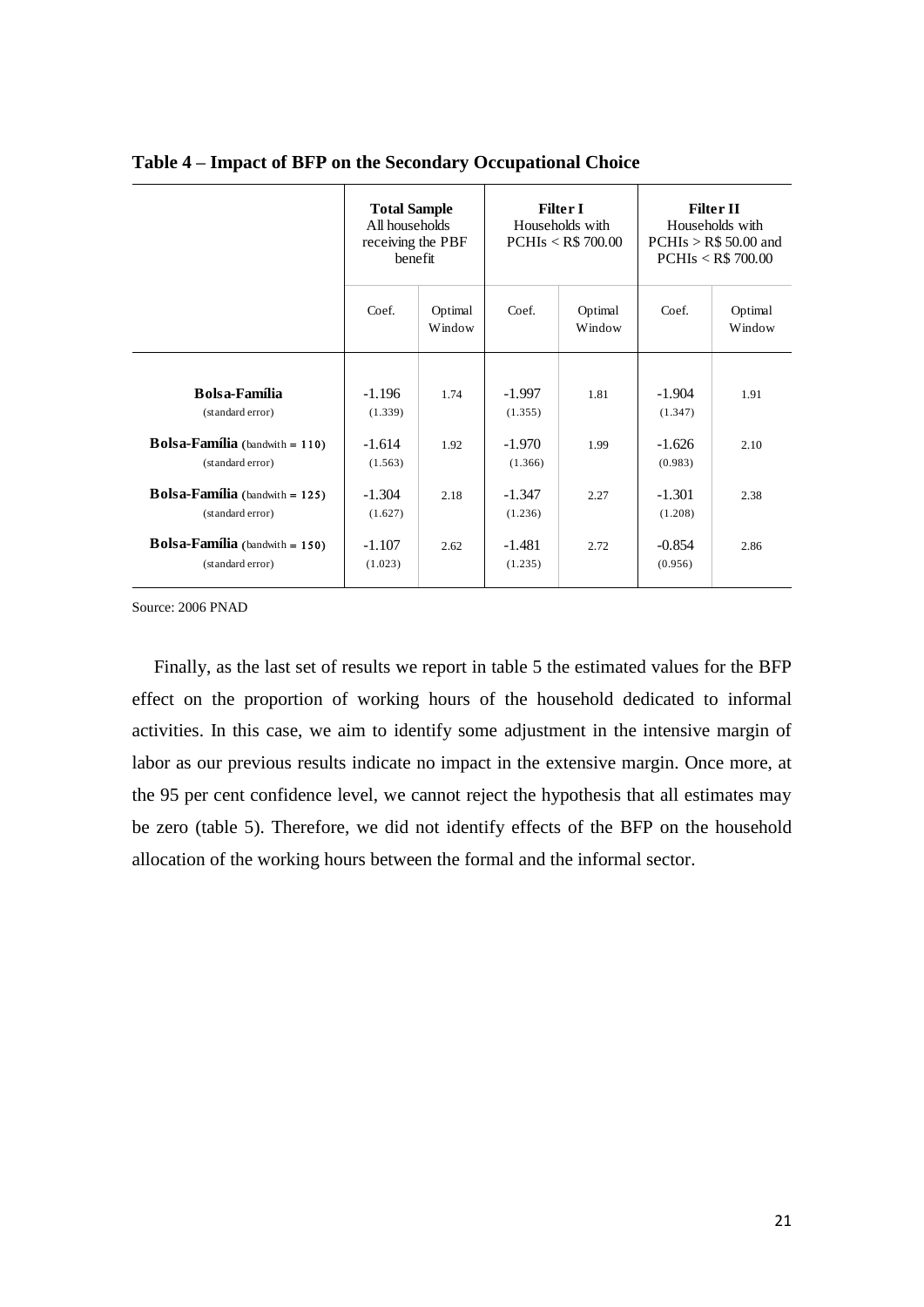|                                                              | <b>Total Sample</b><br>All households<br>receiving the PBF<br>benefit |                   | <b>Filter I</b><br>Households with<br>$PCHIs <$ R\$ 700.00 |                   | <b>Filter II</b><br>Households with<br>PCHIs > R\$ 50.00 and<br><b>PCHIs &lt; R\$ 700.00</b> |                   |
|--------------------------------------------------------------|-----------------------------------------------------------------------|-------------------|------------------------------------------------------------|-------------------|----------------------------------------------------------------------------------------------|-------------------|
|                                                              | Coef.                                                                 | Optimal<br>Window | Coef.                                                      | Optimal<br>Window | Coef.                                                                                        | Optimal<br>Window |
| <b>Bolsa-Família</b><br>(standard error)                     | $-1.196$<br>(1.339)                                                   | 1.74              | $-1.997$<br>(1.355)                                        | 1.81              | $-1.904$<br>(1.347)                                                                          | 1.91              |
| <b>Bolsa-Família</b> (bandwith $= 110$ )<br>(standard error) | $-1.614$<br>(1.563)                                                   | 1.92              | $-1.970$<br>(1.366)                                        | 1.99              | $-1.626$<br>(0.983)                                                                          | 2.10              |
| <b>Bolsa-Família</b> (bandwith $= 125$ )<br>(standard error) | $-1.304$<br>(1.627)                                                   | 2.18              | $-1.347$<br>(1.236)                                        | 2.27              | $-1.301$<br>(1.208)                                                                          | 2.38              |
| <b>Bolsa-Família</b> (bandwith $= 150$ )<br>(standard error) | $-1.107$<br>(1.023)                                                   | 2.62              | $-1.481$<br>(1.235)                                        | 2.72              | $-0.854$<br>(0.956)                                                                          | 2.86              |

**Table 4 – Impact of BFP on the Secondary Occupational Choice**

Source: 2006 PNAD

Finally, as the last set of results we report in table 5 the estimated values for the BFP effect on the proportion of working hours of the household dedicated to informal activities. In this case, we aim to identify some adjustment in the intensive margin of labor as our previous results indicate no impact in the extensive margin. Once more, at the 95 per cent confidence level, we cannot reject the hypothesis that all estimates may be zero (table 5). Therefore, we did not identify effects of the BFP on the household allocation of the working hours between the formal and the informal sector.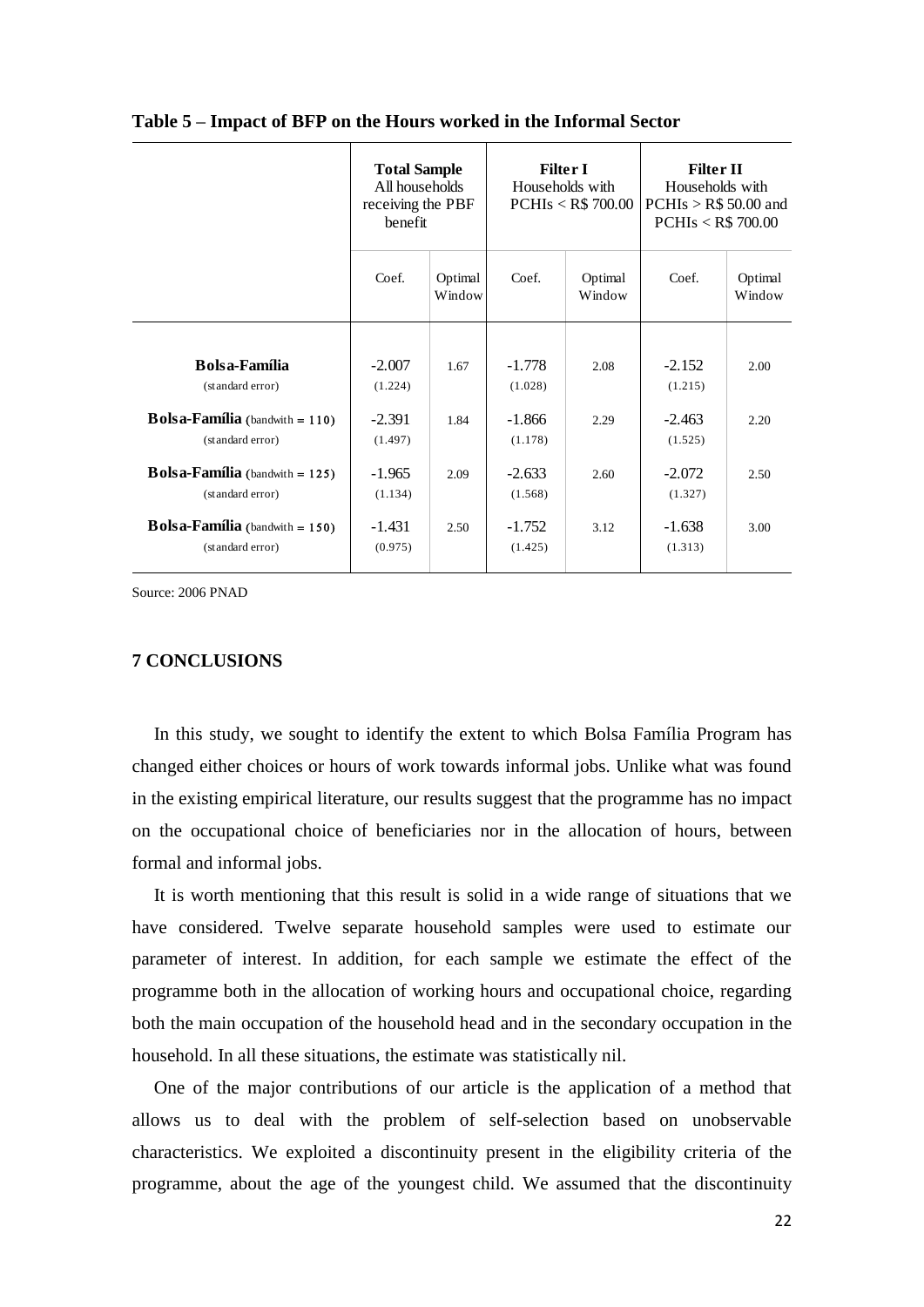|                                                              | <b>Total Sample</b><br>All households<br>receiving the PBF<br>benefit |                   | <b>Filter I</b><br>Households with<br>$PCHIs <$ R\$ 700.00 |                   | <b>Filter II</b><br>Households with<br>PCHIs > R\$ 50.00 and<br><b>PCHIs &lt; R\$ 700.00</b> |                   |
|--------------------------------------------------------------|-----------------------------------------------------------------------|-------------------|------------------------------------------------------------|-------------------|----------------------------------------------------------------------------------------------|-------------------|
|                                                              | Coef.                                                                 | Optimal<br>Window | Coef.                                                      | Optimal<br>Window | Coef.                                                                                        | Optimal<br>Window |
| <b>Bolsa-Família</b><br>(standard error)                     | $-2.007$<br>(1.224)                                                   | 1.67              | $-1.778$<br>(1.028)                                        | 2.08              | $-2.152$<br>(1.215)                                                                          | 2.00              |
| <b>Bolsa-Família</b> (bandwith $= 110$ )<br>(standard error) | $-2.391$<br>(1.497)                                                   | 1.84              | $-1.866$<br>(1.178)                                        | 2.29              | $-2.463$<br>(1.525)                                                                          | 2.20              |
| <b>Bolsa-Família</b> (bandwith $= 125$ )<br>(standard error) | $-1.965$<br>(1.134)                                                   | 2.09              | $-2.633$<br>(1.568)                                        | 2.60              | $-2.072$<br>(1.327)                                                                          | 2.50              |
| <b>Bolsa-Família</b> (bandwith $= 150$ )<br>(standard error) | -1.431<br>(0.975)                                                     | 2.50              | $-1.752$<br>(1.425)                                        | 3.12              | $-1.638$<br>(1.313)                                                                          | 3.00              |

**Table 5 – Impact of BFP on the Hours worked in the Informal Sector**

Source: 2006 PNAD

# **7 CONCLUSIONS**

In this study, we sought to identify the extent to which Bolsa Família Program has changed either choices or hours of work towards informal jobs. Unlike what was found in the existing empirical literature, our results suggest that the programme has no impact on the occupational choice of beneficiaries nor in the allocation of hours, between formal and informal jobs.

It is worth mentioning that this result is solid in a wide range of situations that we have considered. Twelve separate household samples were used to estimate our parameter of interest. In addition, for each sample we estimate the effect of the programme both in the allocation of working hours and occupational choice, regarding both the main occupation of the household head and in the secondary occupation in the household. In all these situations, the estimate was statistically nil.

One of the major contributions of our article is the application of a method that allows us to deal with the problem of self-selection based on unobservable characteristics. We exploited a discontinuity present in the eligibility criteria of the programme, about the age of the youngest child. We assumed that the discontinuity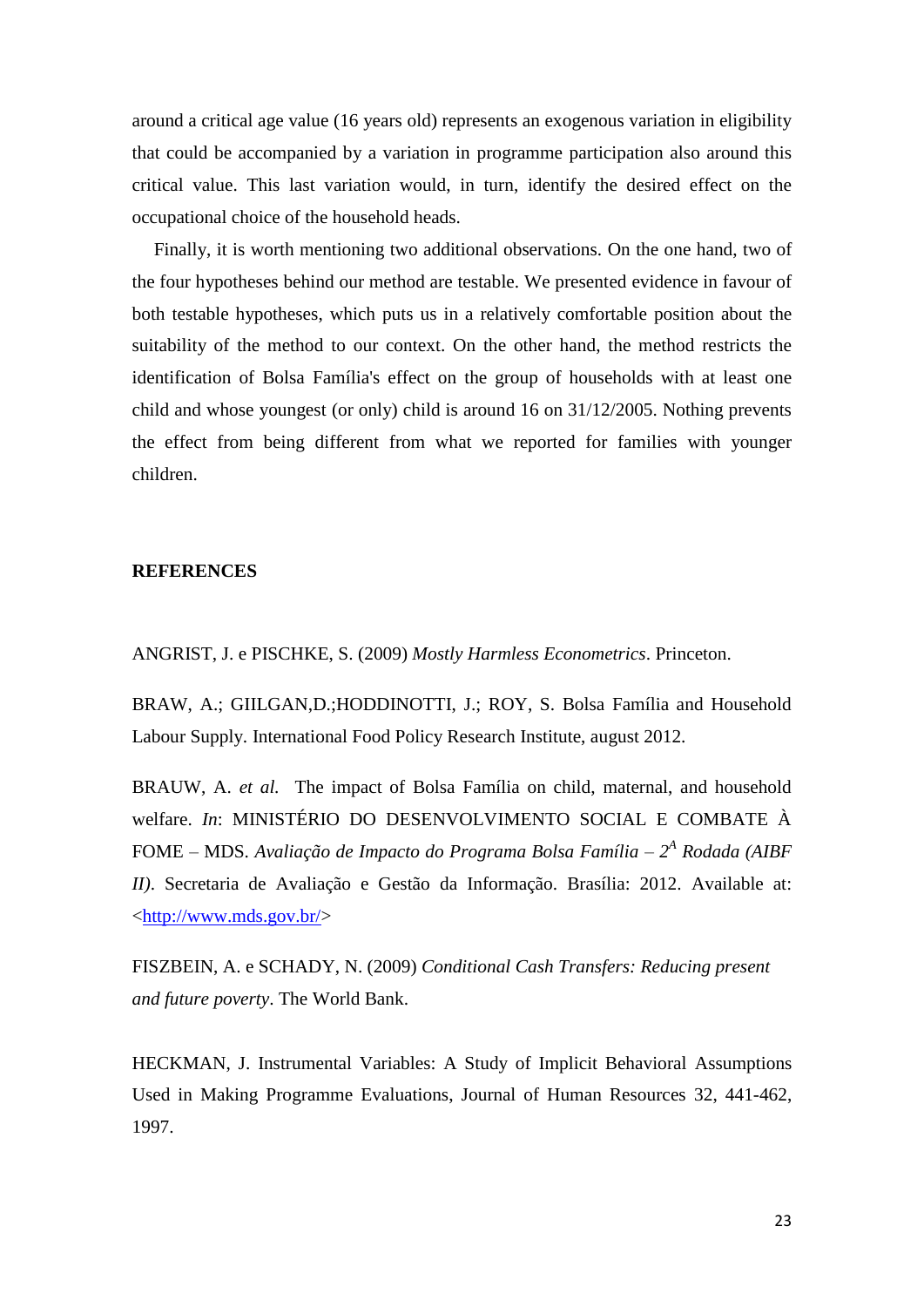around a critical age value (16 years old) represents an exogenous variation in eligibility that could be accompanied by a variation in programme participation also around this critical value. This last variation would, in turn, identify the desired effect on the occupational choice of the household heads.

Finally, it is worth mentioning two additional observations. On the one hand, two of the four hypotheses behind our method are testable. We presented evidence in favour of both testable hypotheses, which puts us in a relatively comfortable position about the suitability of the method to our context. On the other hand, the method restricts the identification of Bolsa Família's effect on the group of households with at least one child and whose youngest (or only) child is around 16 on 31/12/2005. Nothing prevents the effect from being different from what we reported for families with younger children.

## **REFERENCES**

ANGRIST, J. e PISCHKE, S. (2009) *Mostly Harmless Econometrics*. Princeton.

BRAW, A.; GIILGAN,D.;HODDINOTTI, J.; ROY, S. Bolsa Família and Household Labour Supply. International Food Policy Research Institute, august 2012.

BRAUW, A. *et al.* The impact of Bolsa Família on child, maternal, and household welfare. *In*: MINISTÉRIO DO DESENVOLVIMENTO SOCIAL E COMBATE À FOME – MDS. Avaliação de Impacto do Programa Bolsa Família – 2<sup>A</sup> Rodada (AIBF *II)*. Secretaria de Avaliação e Gestão da Informação. Brasília: 2012. Available at: [<http://www.mds.gov.br/>](http://www.mds.gov.br/)

FISZBEIN, A. e SCHADY, N. (2009) *Conditional Cash Transfers: Reducing present and future poverty*. The World Bank.

HECKMAN, J. Instrumental Variables: A Study of Implicit Behavioral Assumptions Used in Making Programme Evaluations, Journal of Human Resources 32, 441-462, 1997.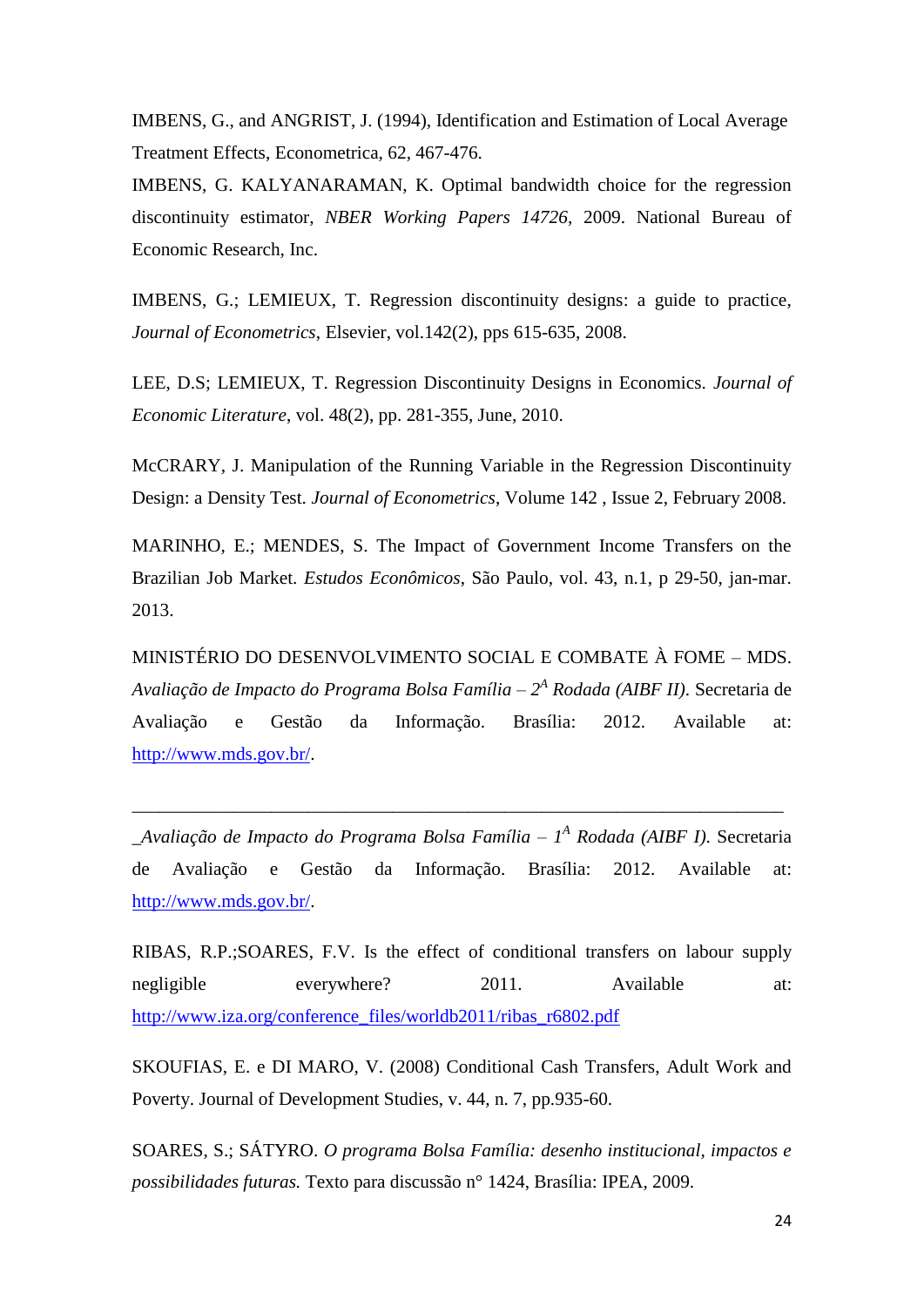IMBENS, G., and ANGRIST, J. (1994), Identification and Estimation of Local Average Treatment Effects, Econometrica, 62, 467-476.

IMBENS, G. KALYANARAMAN, K. Optimal bandwidth choice for the regression discontinuity estimator, *NBER Working Papers 14726*, 2009. National Bureau of Economic Research, Inc.

IMBENS, G.; LEMIEUX, T. Regression discontinuity designs: a guide to practice, *Journal of Econometrics*, Elsevier, vol.142(2), pps 615-635, 2008.

LEE, D.S; LEMIEUX, T. Regression Discontinuity Designs in Economics. *Journal of Economic Literature*, vol. 48(2), pp. 281-355, June, 2010.

McCRARY, J. Manipulation of the Running Variable in the Regression Discontinuity Design: a Density Test. *Journal of Econometrics*, Volume 142 , Issue 2, February 2008.

MARINHO, E.; MENDES, S. The Impact of Government Income Transfers on the Brazilian Job Market. *Estudos Econômicos*, São Paulo, vol. 43, n.1, p 29-50, jan-mar. 2013.

MINISTÉRIO DO DESENVOLVIMENTO SOCIAL E COMBATE À FOME – MDS. *Avaliação de Impacto do Programa Bolsa Família – 2 A Rodada (AIBF II)*. Secretaria de Avaliação e Gestão da Informação. Brasília: 2012. Available at: [http://www.mds.gov.br/.](http://www.mds.gov.br/)

\_*Avaliação de Impacto do Programa Bolsa Família – 1 A Rodada (AIBF I)*. Secretaria de Avaliação e Gestão da Informação. Brasília: 2012. Available at: [http://www.mds.gov.br/.](http://www.mds.gov.br/)

\_\_\_\_\_\_\_\_\_\_\_\_\_\_\_\_\_\_\_\_\_\_\_\_\_\_\_\_\_\_\_\_\_\_\_\_\_\_\_\_\_\_\_\_\_\_\_\_\_\_\_\_\_\_\_\_\_\_\_\_\_\_\_\_\_\_\_\_\_\_

RIBAS, R.P.;SOARES, F.V. Is the effect of conditional transfers on labour supply negligible everywhere? 2011. Available at: [http://www.iza.org/conference\\_files/worldb2011/ribas\\_r6802.pdf](http://www.iza.org/conference_files/worldb2011/ribas_r6802.pdf)

SKOUFIAS, E. e DI MARO, V. (2008) Conditional Cash Transfers, Adult Work and Poverty. Journal of Development Studies, v. 44, n. 7, pp.935-60.

SOARES, S.; SÁTYRO. *O programa Bolsa Família: desenho institucional, impactos e possibilidades futuras.* Texto para discussão n° 1424, Brasília: IPEA, 2009.